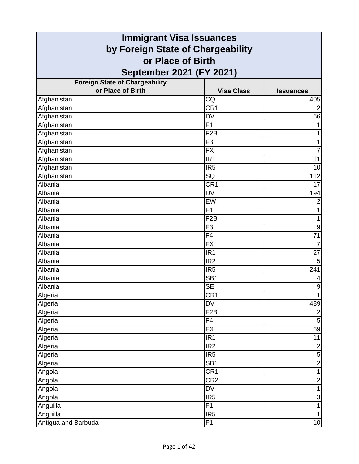| <b>Immigrant Visa Issuances</b>       |                   |                  |
|---------------------------------------|-------------------|------------------|
| by Foreign State of Chargeability     |                   |                  |
| or Place of Birth                     |                   |                  |
| September 2021 (FY 2021)              |                   |                  |
| <b>Foreign State of Chargeability</b> |                   |                  |
| or Place of Birth                     | <b>Visa Class</b> | <b>Issuances</b> |
| Afghanistan                           | CQ                | 405              |
| Afghanistan                           | CR <sub>1</sub>   | $\overline{2}$   |
| Afghanistan                           | <b>DV</b>         | 66               |
| Afghanistan                           | F <sub>1</sub>    | 1                |
| Afghanistan                           | F <sub>2</sub> B  | 1                |
| Afghanistan                           | F <sub>3</sub>    | 1                |
| Afghanistan                           | <b>FX</b>         | $\overline{7}$   |
| Afghanistan                           | IR <sub>1</sub>   | 11               |
| Afghanistan                           | IR <sub>5</sub>   | 10               |
| Afghanistan                           | SQ                | 112              |
| Albania                               | CR <sub>1</sub>   | 17               |
| Albania                               | <b>DV</b>         | 194              |
| Albania                               | EW                | $\overline{2}$   |
| Albania                               | F1                | 1                |
| Albania                               | F <sub>2</sub> B  | 1                |
| Albania                               | F <sub>3</sub>    | 9                |
| Albania                               | $\overline{F4}$   | $\overline{71}$  |
| Albania                               | <b>FX</b>         | $\overline{7}$   |
| Albania                               | IR <sub>1</sub>   | 27               |
| Albania                               | IR <sub>2</sub>   | 5                |
| Albania                               | IR <sub>5</sub>   | 241              |
| Albania                               | SB <sub>1</sub>   | 4                |
| Albania                               | <b>SE</b>         | $\boldsymbol{9}$ |
| Algeria                               | CR <sub>1</sub>   |                  |
| Algeria                               | <b>DV</b>         | 489              |
| Algeria                               | F <sub>2</sub> B  | $\overline{2}$   |
| Algeria                               | F4                | 5                |
| Algeria                               | $\overline{FX}$   | 69               |
| Algeria                               | IR <sub>1</sub>   | 11               |
| Algeria                               | IR <sub>2</sub>   | $\mathbf 2$      |
| Algeria                               | IR <sub>5</sub>   | $\overline{5}$   |
| Algeria                               | SB <sub>1</sub>   | $\overline{2}$   |
| Angola                                | CR <sub>1</sub>   | $\mathbf{1}$     |
| Angola                                | CR <sub>2</sub>   | $\overline{c}$   |
| Angola                                | <b>DV</b>         | $\mathbf{1}$     |
| Angola                                | IR <sub>5</sub>   | $\overline{3}$   |
| Anguilla                              | F1                | $\mathbf{1}$     |
| Anguilla                              | IR <sub>5</sub>   | $\mathbf{1}$     |
| Antigua and Barbuda                   | F <sub>1</sub>    | 10               |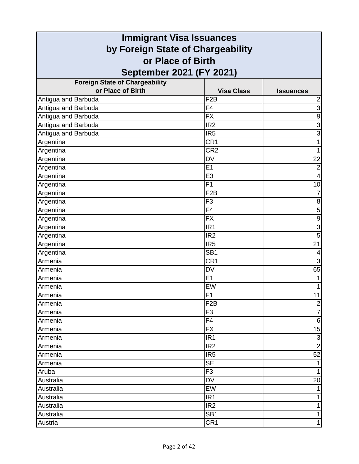| <b>Immigrant Visa Issuances</b>       |                   |                           |
|---------------------------------------|-------------------|---------------------------|
| by Foreign State of Chargeability     |                   |                           |
| or Place of Birth                     |                   |                           |
| September 2021 (FY 2021)              |                   |                           |
| <b>Foreign State of Chargeability</b> |                   |                           |
| or Place of Birth                     | <b>Visa Class</b> | <b>Issuances</b>          |
| Antigua and Barbuda                   | F <sub>2</sub> B  | $\mathbf 2$               |
| Antigua and Barbuda                   | F <sub>4</sub>    | $\overline{3}$            |
| Antigua and Barbuda                   | <b>FX</b>         | $\overline{9}$            |
| Antigua and Barbuda                   | IR <sub>2</sub>   | $\overline{3}$            |
| Antigua and Barbuda                   | IR <sub>5</sub>   | 3                         |
| Argentina                             | CR1               | 1                         |
| Argentina                             | CR <sub>2</sub>   | 1                         |
| Argentina                             | <b>DV</b>         | 22                        |
| Argentina                             | E1                | $\overline{2}$            |
| Argentina                             | E <sub>3</sub>    | $\overline{4}$            |
| Argentina                             | F <sub>1</sub>    | 10                        |
| Argentina                             | F <sub>2</sub> B  | 7                         |
| Argentina                             | F <sub>3</sub>    | 8                         |
| Argentina                             | F4                | $\overline{5}$            |
| Argentina                             | <b>FX</b>         | $\overline{9}$            |
| Argentina                             | IR <sub>1</sub>   | 3                         |
| Argentina                             | IR <sub>2</sub>   | $\overline{5}$            |
| Argentina                             | IR <sub>5</sub>   | 21                        |
| Argentina                             | SB <sub>1</sub>   | 4                         |
| Armenia                               | CR <sub>1</sub>   | 3                         |
| Armenia                               | <b>DV</b>         | 65                        |
| Armenia                               | E <sub>1</sub>    |                           |
| Armenia                               | EW                | 1                         |
| Armenia                               | F1                | 11                        |
| Armenia                               | F <sub>2</sub> B  | $\overline{2}$            |
| Armenia                               | F <sub>3</sub>    | $\overline{7}$            |
| Armenia                               | F <sub>4</sub>    | $\,6$                     |
| Armenia                               | <b>FX</b>         | 15                        |
| Armenia                               | IR <sub>1</sub>   | $\ensuremath{\mathsf{3}}$ |
| Armenia                               | IR <sub>2</sub>   | $\overline{2}$            |
| Armenia                               | IR <sub>5</sub>   | 52                        |
| Armenia                               | <b>SE</b>         | $\mathbf 1$               |
| Aruba                                 | F <sub>3</sub>    | $\mathbf{1}$              |
| Australia                             | <b>DV</b>         | 20                        |
| Australia                             | EW                | $\mathbf{1}$              |
| Australia                             | IR <sub>1</sub>   | 1                         |
| Australia                             | IR <sub>2</sub>   | $\mathbf{1}$              |
| Australia                             | SB <sub>1</sub>   | 1                         |
| Austria                               | CR1               | $\mathbf{1}$              |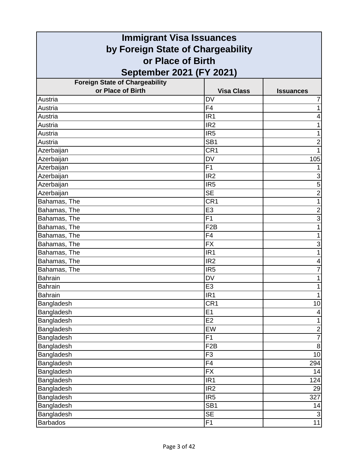| <b>Immigrant Visa Issuances</b>       |                   |                  |
|---------------------------------------|-------------------|------------------|
| by Foreign State of Chargeability     |                   |                  |
| or Place of Birth                     |                   |                  |
| September 2021 (FY 2021)              |                   |                  |
| <b>Foreign State of Chargeability</b> |                   |                  |
| or Place of Birth                     | <b>Visa Class</b> | <b>Issuances</b> |
| Austria                               | <b>DV</b>         | 7                |
| Austria                               | F <sub>4</sub>    | 1                |
| Austria                               | IR <sub>1</sub>   | 4                |
| Austria                               | IR <sub>2</sub>   |                  |
| Austria                               | IR <sub>5</sub>   | 1                |
| Austria                               | SB <sub>1</sub>   | $\overline{2}$   |
| Azerbaijan                            | CR <sub>1</sub>   | 1                |
| Azerbaijan                            | <b>DV</b>         | 105              |
| Azerbaijan                            | F1                |                  |
| Azerbaijan                            | IR <sub>2</sub>   | 3                |
| Azerbaijan                            | IR <sub>5</sub>   | 5                |
| Azerbaijan                            | <b>SE</b>         | $\overline{c}$   |
| Bahamas, The                          | CR <sub>1</sub>   | 1                |
| Bahamas, The                          | E <sub>3</sub>    | $\overline{2}$   |
| Bahamas, The                          | F <sub>1</sub>    | 3                |
| Bahamas, The                          | F <sub>2</sub> B  | 1                |
| Bahamas, The                          | F <sub>4</sub>    | 1                |
| Bahamas, The                          | <b>FX</b>         | 3                |
| Bahamas, The                          | IR <sub>1</sub>   | 1                |
| Bahamas, The                          | IR <sub>2</sub>   | 4                |
| Bahamas, The                          | IR <sub>5</sub>   | 7                |
| <b>Bahrain</b>                        | <b>DV</b>         | 1                |
| <b>Bahrain</b>                        | E <sub>3</sub>    | 1                |
| Bahrain                               | IR1               |                  |
| Bangladesh                            | CR <sub>1</sub>   | 10               |
| Bangladesh                            | E1                | 4                |
| Bangladesh                            | E <sub>2</sub>    | 1                |
| <b>Bangladesh</b>                     | EW                | $\overline{2}$   |
| Bangladesh                            | F1                | $\overline{7}$   |
| Bangladesh                            | F <sub>2</sub> B  | $\bf 8$          |
| Bangladesh                            | F <sub>3</sub>    | 10               |
| Bangladesh                            | F <sub>4</sub>    | 294              |
| Bangladesh                            | <b>FX</b>         | 14               |
| Bangladesh                            | IR <sub>1</sub>   | 124              |
| Bangladesh                            | IR <sub>2</sub>   | 29               |
| Bangladesh                            | IR <sub>5</sub>   | 327              |
| Bangladesh                            | SB <sub>1</sub>   | 14               |
| Bangladesh                            | <b>SE</b>         | $\mathsf 3$      |
| <b>Barbados</b>                       | F <sub>1</sub>    | 11               |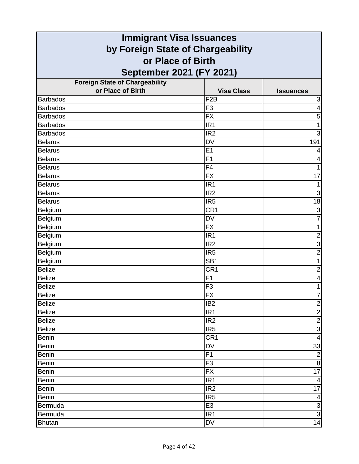| <b>Immigrant Visa Issuances</b>       |                   |                           |
|---------------------------------------|-------------------|---------------------------|
| by Foreign State of Chargeability     |                   |                           |
| or Place of Birth                     |                   |                           |
| September 2021 (FY 2021)              |                   |                           |
| <b>Foreign State of Chargeability</b> |                   |                           |
| or Place of Birth                     | <b>Visa Class</b> | <b>Issuances</b>          |
| <b>Barbados</b>                       | F <sub>2</sub> B  | $\ensuremath{\mathsf{3}}$ |
| <b>Barbados</b>                       | F <sub>3</sub>    | $\overline{4}$            |
| <b>Barbados</b>                       | <b>FX</b>         | 5                         |
| <b>Barbados</b>                       | IR <sub>1</sub>   | 1                         |
| <b>Barbados</b>                       | IR <sub>2</sub>   | 3                         |
| <b>Belarus</b>                        | <b>DV</b>         | 191                       |
| <b>Belarus</b>                        | E <sub>1</sub>    | 4                         |
| Belarus                               | F <sub>1</sub>    | 4                         |
| <b>Belarus</b>                        | F <sub>4</sub>    | 1                         |
| <b>Belarus</b>                        | <b>FX</b>         | 17                        |
| <b>Belarus</b>                        | IR <sub>1</sub>   |                           |
| <b>Belarus</b>                        | IR <sub>2</sub>   | 3                         |
| <b>Belarus</b>                        | IR <sub>5</sub>   | $\overline{18}$           |
| Belgium                               | CR <sub>1</sub>   | $\overline{\omega}$       |
| Belgium                               | <b>DV</b>         | $\overline{7}$            |
| Belgium                               | <b>FX</b>         | 1                         |
| Belgium                               | IR <sub>1</sub>   | $\overline{c}$            |
| Belgium                               | IR <sub>2</sub>   | 3                         |
| Belgium                               | IR <sub>5</sub>   | $\overline{2}$            |
| Belgium                               | SB <sub>1</sub>   | 1                         |
| <b>Belize</b>                         | CR <sub>1</sub>   | $\overline{c}$            |
| <b>Belize</b>                         | F <sub>1</sub>    | $\overline{\mathbf{4}}$   |
| <b>Belize</b>                         | F <sub>3</sub>    | 1                         |
| Belize                                | $\overline{FX}$   | $\overline{7}$            |
| <b>Belize</b>                         | IB <sub>2</sub>   | $\overline{2}$            |
| <b>Belize</b>                         | IR <sub>1</sub>   | $\overline{2}$            |
| <b>Belize</b>                         | IR <sub>2</sub>   | $\overline{2}$            |
| <b>Belize</b>                         | IR <sub>5</sub>   | $\overline{3}$            |
| <b>Benin</b>                          | CR <sub>1</sub>   | $\overline{\mathbf{4}}$   |
| <b>Benin</b>                          | DV                | 33                        |
| <b>Benin</b>                          | F1                | $\overline{2}$            |
| <b>Benin</b>                          | F <sub>3</sub>    | $\overline{8}$            |
| <b>Benin</b>                          | <b>FX</b>         | 17                        |
| <b>Benin</b>                          | IR <sub>1</sub>   | 4                         |
| <b>Benin</b>                          | IR <sub>2</sub>   | 17                        |
| <b>Benin</b>                          | IR <sub>5</sub>   | 4                         |
| Bermuda                               | E <sub>3</sub>    | <u> အ</u>                 |
| Bermuda                               | IR <sub>1</sub>   |                           |
| <b>Bhutan</b>                         | DV                | 14                        |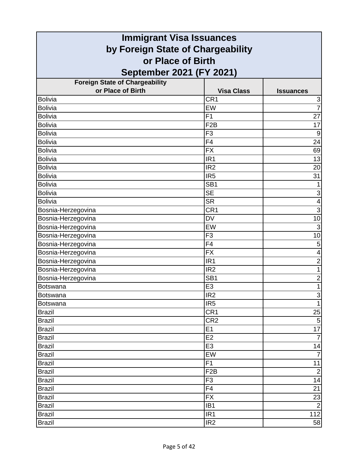| <b>Immigrant Visa Issuances</b>       |                   |                         |
|---------------------------------------|-------------------|-------------------------|
| by Foreign State of Chargeability     |                   |                         |
| or Place of Birth                     |                   |                         |
| September 2021 (FY 2021)              |                   |                         |
| <b>Foreign State of Chargeability</b> |                   |                         |
| or Place of Birth                     | <b>Visa Class</b> | <b>Issuances</b>        |
| <b>Bolivia</b>                        | CR <sub>1</sub>   | 3                       |
| <b>Bolivia</b>                        | EW                | $\overline{7}$          |
| <b>Bolivia</b>                        | F <sub>1</sub>    | $\overline{27}$         |
| <b>Bolivia</b>                        | F <sub>2</sub> B  | 17                      |
| <b>Bolivia</b>                        | F <sub>3</sub>    | $\boldsymbol{9}$        |
| <b>Bolivia</b>                        | F4                | 24                      |
| <b>Bolivia</b>                        | <b>FX</b>         | 69                      |
| <b>Bolivia</b>                        | IR <sub>1</sub>   | 13                      |
| <b>Bolivia</b>                        | IR <sub>2</sub>   | 20                      |
| <b>Bolivia</b>                        | IR <sub>5</sub>   | 31                      |
| <b>Bolivia</b>                        | SB <sub>1</sub>   | 1                       |
| <b>Bolivia</b>                        | <b>SE</b>         | $\mathsf 3$             |
| <b>Bolivia</b>                        | <b>SR</b>         | $\overline{\mathbf{4}}$ |
| Bosnia-Herzegovina                    | CR1               | $\overline{3}$          |
| Bosnia-Herzegovina                    | <b>DV</b>         | 10                      |
| Bosnia-Herzegovina                    | EW                | 3                       |
| Bosnia-Herzegovina                    | F <sub>3</sub>    | 10                      |
| Bosnia-Herzegovina                    | F <sub>4</sub>    | $\mathbf 5$             |
| Bosnia-Herzegovina                    | <b>FX</b>         | 4                       |
| Bosnia-Herzegovina                    | IR <sub>1</sub>   | $\overline{2}$          |
| Bosnia-Herzegovina                    | IR <sub>2</sub>   | 1                       |
| Bosnia-Herzegovina                    | SB <sub>1</sub>   | $\overline{\mathbf{c}}$ |
| <b>Botswana</b>                       | E <sub>3</sub>    | $\mathbf{1}$            |
| <b>Botswana</b>                       | IR <sub>2</sub>   | $\overline{3}$          |
| <b>Botswana</b>                       | IR <sub>5</sub>   | $\mathbf{1}$            |
| <b>Brazil</b>                         | CR <sub>1</sub>   | 25                      |
| <b>Brazil</b>                         | CR <sub>2</sub>   | $\sqrt{5}$              |
| <b>Brazil</b>                         | E1                | $\overline{17}$         |
| <b>Brazil</b>                         | E2                | $\overline{7}$          |
| <b>Brazil</b>                         | E <sub>3</sub>    | 14                      |
| <b>Brazil</b>                         | EW                | $\overline{7}$          |
| <b>Brazil</b>                         | F1                | 11                      |
| <b>Brazil</b>                         | F <sub>2</sub> B  | $\overline{2}$          |
| <b>Brazil</b>                         | F <sub>3</sub>    | 14                      |
| <b>Brazil</b>                         | F <sub>4</sub>    | 21                      |
| <b>Brazil</b>                         | <b>FX</b>         | 23                      |
| <b>Brazil</b>                         | IB <sub>1</sub>   | $\overline{2}$          |
| <b>Brazil</b>                         | IR <sub>1</sub>   | 112                     |
| <b>Brazil</b>                         | IR <sub>2</sub>   | 58                      |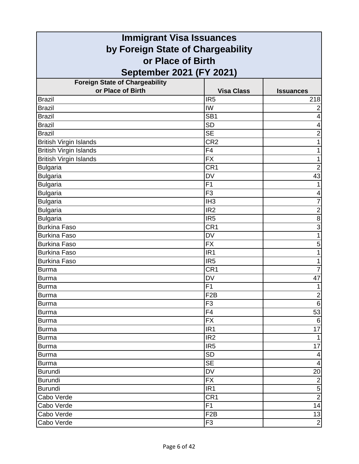| <b>Immigrant Visa Issuances</b>       |                   |                          |
|---------------------------------------|-------------------|--------------------------|
| by Foreign State of Chargeability     |                   |                          |
| or Place of Birth                     |                   |                          |
| September 2021 (FY 2021)              |                   |                          |
| <b>Foreign State of Chargeability</b> |                   |                          |
| or Place of Birth                     | <b>Visa Class</b> | <b>Issuances</b>         |
| <b>Brazil</b>                         | IR <sub>5</sub>   | 218                      |
| <b>Brazil</b>                         | IW                | $\overline{2}$           |
| <b>Brazil</b>                         | SB <sub>1</sub>   | 4                        |
| <b>Brazil</b>                         | <b>SD</b>         | 4                        |
| <b>Brazil</b>                         | <b>SE</b>         | $\overline{c}$           |
| <b>British Virgin Islands</b>         | CR <sub>2</sub>   | 1                        |
| <b>British Virgin Islands</b>         | F <sub>4</sub>    | 1                        |
| <b>British Virgin Islands</b>         | <b>FX</b>         | 1                        |
| <b>Bulgaria</b>                       | CR <sub>1</sub>   | $\overline{2}$           |
| <b>Bulgaria</b>                       | <b>DV</b>         | 43                       |
| <b>Bulgaria</b>                       | F <sub>1</sub>    | 1                        |
| <b>Bulgaria</b>                       | F <sub>3</sub>    | 4                        |
| <b>Bulgaria</b>                       | IH <sub>3</sub>   | $\overline{7}$           |
| <b>Bulgaria</b>                       | IR <sub>2</sub>   | $\overline{2}$           |
| <b>Bulgaria</b>                       | IR <sub>5</sub>   | 8                        |
| <b>Burkina Faso</b>                   | CR <sub>1</sub>   | $\overline{3}$           |
| <b>Burkina Faso</b>                   | <b>DV</b>         | 1                        |
| <b>Burkina Faso</b>                   | <b>FX</b>         | 5                        |
| <b>Burkina Faso</b>                   | IR <sub>1</sub>   | 1                        |
| <b>Burkina Faso</b>                   | IR <sub>5</sub>   | 1                        |
| <b>Burma</b>                          | CR <sub>1</sub>   | $\overline{7}$           |
| <b>Burma</b>                          | <b>DV</b>         | 47                       |
| <b>Burma</b>                          | F <sub>1</sub>    | $\mathbf{1}$             |
| Burma                                 | F2B               | $\overline{2}$           |
| <b>Burma</b>                          | F <sub>3</sub>    | $6\phantom{1}$           |
| <b>Burma</b>                          | F <sub>4</sub>    | 53                       |
| <b>Burma</b>                          | <b>FX</b>         | $\,6$                    |
| <b>Burma</b>                          | IR <sub>1</sub>   | 17                       |
| <b>Burma</b>                          | IR <sub>2</sub>   | $\mathbf{1}$             |
| <b>Burma</b>                          | IR <sub>5</sub>   | 17                       |
| <b>Burma</b>                          | <b>SD</b>         | 4                        |
| <b>Burma</b>                          | <b>SE</b>         | $\overline{\mathcal{A}}$ |
| <b>Burundi</b>                        | <b>DV</b>         | 20                       |
| <b>Burundi</b>                        | <b>FX</b>         | $\overline{2}$           |
| <b>Burundi</b>                        | IR <sub>1</sub>   | $\overline{5}$           |
| Cabo Verde                            | CR <sub>1</sub>   | $\overline{2}$           |
| Cabo Verde                            | F1                | 14                       |
| Cabo Verde                            | F <sub>2</sub> B  | 13                       |
| Cabo Verde                            | F <sub>3</sub>    | $\overline{2}$           |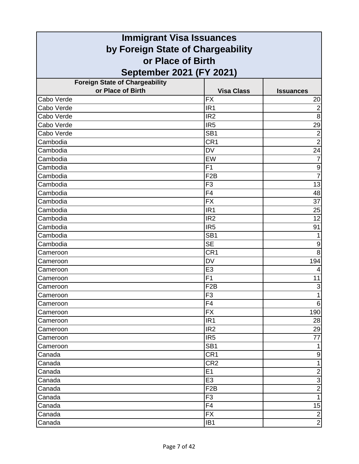| <b>Immigrant Visa Issuances</b>       |                   |                           |
|---------------------------------------|-------------------|---------------------------|
| by Foreign State of Chargeability     |                   |                           |
| or Place of Birth                     |                   |                           |
| September 2021 (FY 2021)              |                   |                           |
| <b>Foreign State of Chargeability</b> |                   |                           |
| or Place of Birth                     | <b>Visa Class</b> | <b>Issuances</b>          |
| Cabo Verde                            | <b>FX</b>         | 20                        |
| Cabo Verde                            | IR <sub>1</sub>   | $\overline{2}$            |
| Cabo Verde                            | IR <sub>2</sub>   | 8                         |
| Cabo Verde                            | IR <sub>5</sub>   | 29                        |
| Cabo Verde                            | SB <sub>1</sub>   | $\overline{2}$            |
| Cambodia                              | CR <sub>1</sub>   | $\overline{2}$            |
| Cambodia                              | <b>DV</b>         | 24                        |
| Cambodia                              | EW                | 7                         |
| Cambodia                              | F1                | $\boldsymbol{9}$          |
| Cambodia                              | F <sub>2</sub> B  | $\overline{7}$            |
| Cambodia                              | F <sub>3</sub>    | 13                        |
| Cambodia                              | F4                | 48                        |
| Cambodia                              | <b>FX</b>         | $\overline{37}$           |
| Cambodia                              | IR <sub>1</sub>   | 25                        |
| Cambodia                              | IR <sub>2</sub>   | 12                        |
| Cambodia                              | IR <sub>5</sub>   | 91                        |
| Cambodia                              | SB <sub>1</sub>   | 1                         |
| Cambodia                              | <b>SE</b>         | 9                         |
| Cameroon                              | CR <sub>1</sub>   | 8                         |
| Cameroon                              | <b>DV</b>         | 194                       |
| Cameroon                              | E <sub>3</sub>    | 4                         |
| Cameroon                              | F1                | 11                        |
| Cameroon                              | F <sub>2</sub> B  | $\ensuremath{\mathsf{3}}$ |
| Cameroon                              | F3                |                           |
| Cameroon                              | F4                | 6                         |
| Cameroon                              | <b>FX</b>         | 190                       |
| Cameroon                              | IR <sub>1</sub>   | 28                        |
| Cameroon                              | IR <sub>2</sub>   | 29                        |
| Cameroon                              | IR <sub>5</sub>   | 77                        |
| Cameroon                              | SB <sub>1</sub>   | 1                         |
| Canada                                | CR <sub>1</sub>   | 9                         |
| Canada                                | CR <sub>2</sub>   | $\mathbf{1}$              |
| Canada                                | E1                | $\mathbf 2$               |
| Canada                                | E <sub>3</sub>    | $\mathsf 3$               |
| Canada                                | F <sub>2</sub> B  | $\overline{2}$            |
| Canada                                | F <sub>3</sub>    | $\mathbf{1}$              |
| Canada                                | F4                | 15                        |
| Canada                                | <b>FX</b>         | $\overline{2}$            |
| Canada                                | IB <sub>1</sub>   | $\mathbf{2}$              |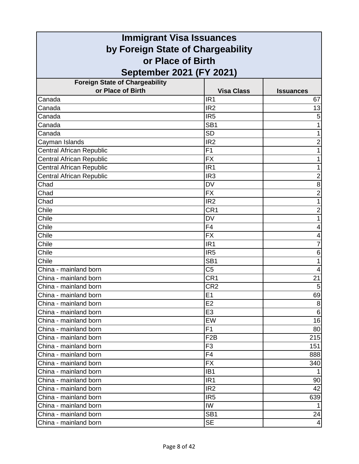| <b>Immigrant Visa Issuances</b>                |                       |                         |
|------------------------------------------------|-----------------------|-------------------------|
| by Foreign State of Chargeability              |                       |                         |
| or Place of Birth                              |                       |                         |
| September 2021 (FY 2021)                       |                       |                         |
| <b>Foreign State of Chargeability</b>          |                       |                         |
| or Place of Birth                              | <b>Visa Class</b>     | <b>Issuances</b>        |
| Canada                                         | IR <sub>1</sub>       | 67                      |
| Canada                                         | IR <sub>2</sub>       | 13                      |
| Canada                                         | IR <sub>5</sub>       | 5                       |
| Canada                                         | SB <sub>1</sub>       | 1                       |
| Canada                                         | <b>SD</b>             | 1                       |
| Cayman Islands                                 | IR <sub>2</sub>       | $\overline{c}$          |
| <b>Central African Republic</b>                | F1                    |                         |
| <b>Central African Republic</b>                | <b>FX</b>             |                         |
| Central African Republic                       | IR <sub>1</sub>       | 1                       |
| <b>Central African Republic</b>                | IR <sub>3</sub>       | $\overline{2}$          |
| Chad                                           | <b>DV</b>             | 8                       |
| Chad                                           | <b>FX</b>             | $\overline{2}$          |
| Chad                                           | IR <sub>2</sub>       | 1                       |
| Chile                                          | CR <sub>1</sub>       | $\overline{\mathbf{c}}$ |
| Chile                                          | <b>DV</b>             |                         |
| Chile                                          | F4                    | 4                       |
| Chile                                          | $\overline{FX}$       | 4                       |
| Chile                                          | IR <sub>1</sub>       | 7                       |
| Chile                                          | IR <sub>5</sub>       | 6                       |
| Chile                                          | SB <sub>1</sub>       | 1                       |
| China - mainland born                          | C <sub>5</sub>        | 4                       |
| China - mainland born                          | CR <sub>1</sub>       | 21                      |
| China - mainland born                          | CR <sub>2</sub><br>E1 | 5                       |
| China - mainland born<br>China - mainland born | E <sub>2</sub>        | 69<br>8                 |
| China - mainland born                          | E <sub>3</sub>        | 6                       |
| China - mainland born                          | EW                    | 16                      |
| China - mainland born                          | F1                    | 80                      |
| China - mainland born                          | F <sub>2</sub> B      | 215                     |
| China - mainland born                          | F <sub>3</sub>        | 151                     |
| China - mainland born                          | F4                    | 888                     |
| China - mainland born                          | <b>FX</b>             | 340                     |
| China - mainland born                          | IB <sub>1</sub>       |                         |
| China - mainland born                          | IR <sub>1</sub>       | 90                      |
| China - mainland born                          | IR <sub>2</sub>       | 42                      |
| China - mainland born                          | IR <sub>5</sub>       | 639                     |
| China - mainland born                          | IW                    |                         |
| China - mainland born                          | SB <sub>1</sub>       | 24                      |
| China - mainland born                          | <b>SE</b>             | 4                       |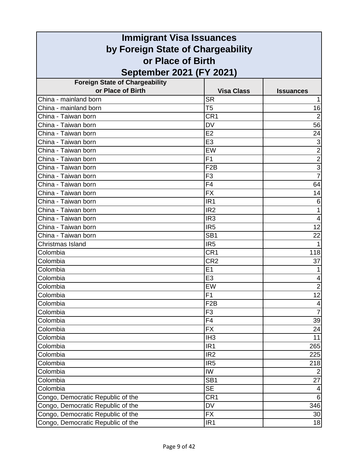|                                                                        | <b>Immigrant Visa Issuances</b> |                         |
|------------------------------------------------------------------------|---------------------------------|-------------------------|
| by Foreign State of Chargeability                                      |                                 |                         |
| or Place of Birth                                                      |                                 |                         |
| September 2021 (FY 2021)                                               |                                 |                         |
| <b>Foreign State of Chargeability</b>                                  |                                 |                         |
| or Place of Birth                                                      | <b>Visa Class</b>               | <b>Issuances</b>        |
| China - mainland born                                                  | <b>SR</b>                       |                         |
| China - mainland born                                                  | T <sub>5</sub>                  | 16                      |
| China - Taiwan born                                                    | CR <sub>1</sub>                 | $\overline{2}$          |
| China - Taiwan born                                                    | <b>DV</b>                       | 56                      |
| China - Taiwan born                                                    | E2                              | 24                      |
| China - Taiwan born                                                    | E <sub>3</sub>                  | $\overline{3}$          |
| China - Taiwan born                                                    | EW                              | $\overline{2}$          |
| China - Taiwan born                                                    | F1                              | $\overline{c}$          |
| China - Taiwan born                                                    | F <sub>2</sub> B                | $\overline{3}$          |
| China - Taiwan born                                                    | F <sub>3</sub>                  | $\overline{7}$          |
| China - Taiwan born                                                    | F <sub>4</sub>                  | 64                      |
| China - Taiwan born                                                    | <b>FX</b>                       | 14                      |
| China - Taiwan born                                                    | IR <sub>1</sub>                 | 6                       |
| China - Taiwan born                                                    | IR <sub>2</sub>                 | $\mathbf{1}$            |
| China - Taiwan born                                                    | IR <sub>3</sub>                 | 4                       |
| China - Taiwan born                                                    | IR <sub>5</sub>                 | 12                      |
| China - Taiwan born                                                    | SB <sub>1</sub>                 | 22                      |
| Christmas Island                                                       | IR <sub>5</sub>                 |                         |
| Colombia                                                               | CR <sub>1</sub>                 | 118                     |
| Colombia                                                               | CR <sub>2</sub>                 | 37                      |
| Colombia                                                               | E1                              |                         |
| Colombia                                                               | E <sub>3</sub>                  | 4                       |
| Colombia                                                               | EW                              | $\overline{2}$          |
| Colombia                                                               | F <sub>1</sub>                  | 12                      |
| Colombia                                                               | F <sub>2</sub> B                | $\overline{\mathbf{4}}$ |
| Colombia                                                               | F <sub>3</sub>                  | $\overline{7}$          |
| Colombia                                                               | F <sub>4</sub>                  | 39                      |
| Colombia                                                               | <b>FX</b>                       | 24                      |
| Colombia                                                               | IH <sub>3</sub>                 | 11                      |
| Colombia                                                               | IR <sub>1</sub>                 | 265                     |
| Colombia                                                               | IR <sub>2</sub>                 | 225                     |
| Colombia                                                               | IR <sub>5</sub>                 | 218                     |
| Colombia                                                               | IW                              | $\overline{2}$          |
| Colombia                                                               | SB <sub>1</sub>                 | 27                      |
| Colombia                                                               | SE<br>CR <sub>1</sub>           | 4<br>$6\overline{6}$    |
| Congo, Democratic Republic of the<br>Congo, Democratic Republic of the | DV                              |                         |
| Congo, Democratic Republic of the                                      | <b>FX</b>                       | 346                     |
| Congo, Democratic Republic of the                                      | IR <sub>1</sub>                 | 30<br>18                |
|                                                                        |                                 |                         |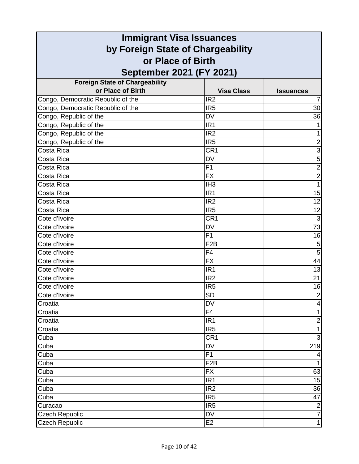| <b>Immigrant Visa Issuances</b>       |                   |                  |
|---------------------------------------|-------------------|------------------|
| by Foreign State of Chargeability     |                   |                  |
| or Place of Birth                     |                   |                  |
| September 2021 (FY 2021)              |                   |                  |
| <b>Foreign State of Chargeability</b> |                   |                  |
| or Place of Birth                     | <b>Visa Class</b> | <b>Issuances</b> |
| Congo, Democratic Republic of the     | IR <sub>2</sub>   |                  |
| Congo, Democratic Republic of the     | IR <sub>5</sub>   | 30               |
| Congo, Republic of the                | <b>DV</b>         | 36               |
| Congo, Republic of the                | IR <sub>1</sub>   |                  |
| Congo, Republic of the                | IR <sub>2</sub>   | 1                |
| Congo, Republic of the                | IR <sub>5</sub>   | $\mathbf 2$      |
| Costa Rica                            | CR <sub>1</sub>   | 3                |
| Costa Rica                            | <b>DV</b>         | 5                |
| Costa Rica                            | F1                | $\overline{2}$   |
| Costa Rica                            | <b>FX</b>         | $\overline{2}$   |
| Costa Rica                            | IH <sub>3</sub>   | 1                |
| Costa Rica                            | IR <sub>1</sub>   | 15               |
| Costa Rica                            | IR <sub>2</sub>   | 12               |
| Costa Rica                            | IR <sub>5</sub>   | 12               |
| Cote d'Ivoire                         | CR <sub>1</sub>   | $\mathbf{3}$     |
| Cote d'Ivoire                         | <b>DV</b>         | $\overline{73}$  |
| Cote d'Ivoire                         | F1                | 16               |
| Cote d'Ivoire                         | F <sub>2</sub> B  | 5                |
| Cote d'Ivoire                         | F <sub>4</sub>    | 5                |
| Cote d'Ivoire                         | <b>FX</b>         | 44               |
| Cote d'Ivoire                         | IR <sub>1</sub>   | 13               |
| Cote d'Ivoire                         | IR <sub>2</sub>   | 21               |
| Cote d'Ivoire                         | IR <sub>5</sub>   | 16               |
| Cote d'Ivoire                         | SD                | $\overline{2}$   |
| Croatia                               | <b>DV</b>         | $\overline{4}$   |
| Croatia                               | F <sub>4</sub>    | $\mathbf{1}$     |
| Croatia                               | IR <sub>1</sub>   | $\overline{2}$   |
| Croatia                               | IR <sub>5</sub>   | $\mathbf{1}$     |
| Cuba                                  | CR <sub>1</sub>   | 3                |
| Cuba                                  | <b>DV</b>         | 219              |
| Cuba                                  | F1                | 4                |
| Cuba                                  | F <sub>2</sub> B  | 1                |
| Cuba                                  | <b>FX</b>         | 63               |
| Cuba                                  | IR <sub>1</sub>   | 15               |
| Cuba                                  | IR2               | 36               |
| Cuba                                  | IR <sub>5</sub>   | 47               |
| Curacao                               | IR <sub>5</sub>   | $\sqrt{2}$       |
| <b>Czech Republic</b>                 | <b>DV</b>         | $\overline{7}$   |
| <b>Czech Republic</b>                 | E <sub>2</sub>    | $\mathbf{1}$     |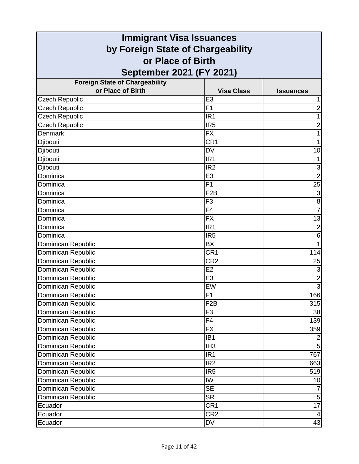| <b>Immigrant Visa Issuances</b>                        |                          |                           |
|--------------------------------------------------------|--------------------------|---------------------------|
| by Foreign State of Chargeability<br>or Place of Birth |                          |                           |
|                                                        |                          |                           |
| <b>Foreign State of Chargeability</b>                  |                          |                           |
| or Place of Birth                                      | <b>Visa Class</b>        | <b>Issuances</b>          |
| <b>Czech Republic</b>                                  | E <sub>3</sub>           |                           |
| <b>Czech Republic</b>                                  | F <sub>1</sub>           | $\overline{2}$            |
| <b>Czech Republic</b>                                  | IR <sub>1</sub>          | 1                         |
| <b>Czech Republic</b>                                  | IR <sub>5</sub>          | $\overline{2}$            |
| <b>Denmark</b>                                         | <b>FX</b>                | 1                         |
| Djibouti                                               | CR <sub>1</sub>          | 1                         |
| Djibouti                                               | <b>DV</b>                | 10                        |
| Djibouti                                               | IR <sub>1</sub>          |                           |
| Djibouti                                               | IR <sub>2</sub>          | $\ensuremath{\mathsf{3}}$ |
| Dominica                                               | E <sub>3</sub>           | $\overline{2}$            |
| Dominica                                               | F <sub>1</sub>           | 25                        |
| Dominica                                               | F <sub>2</sub> B         | 3                         |
| Dominica                                               | F <sub>3</sub>           | $\bf 8$                   |
| Dominica                                               | F <sub>4</sub>           | $\overline{7}$            |
| Dominica                                               | <b>FX</b>                | 13                        |
| Dominica                                               | IR <sub>1</sub>          | $\overline{2}$            |
| Dominica                                               | IR <sub>5</sub>          | 6                         |
| Dominican Republic                                     | BX                       |                           |
| Dominican Republic                                     | CR <sub>1</sub>          | 114                       |
| Dominican Republic                                     | CR <sub>2</sub>          | 25                        |
| Dominican Republic                                     | E2                       | $\overline{3}$            |
| Dominican Republic                                     | E <sub>3</sub>           | $\overline{2}$            |
| Dominican Republic                                     | EW                       | $\overline{3}$            |
| Dominican Republic                                     | $\overline{F1}$          | 166                       |
| Dominican Republic                                     | F <sub>2</sub> B         | 315                       |
| Dominican Republic                                     | F <sub>3</sub>           | 38                        |
| Dominican Republic                                     | F <sub>4</sub>           | 139                       |
| Dominican Republic                                     | $\overline{FX}$          | 359                       |
| Dominican Republic                                     | IB <sub>1</sub>          | $\overline{2}$            |
| Dominican Republic                                     | IH <sub>3</sub>          | 5                         |
| Dominican Republic                                     | IR <sub>1</sub>          | 767                       |
| Dominican Republic                                     | IR <sub>2</sub>          | 663                       |
| Dominican Republic                                     | IR <sub>5</sub>          | 519                       |
| Dominican Republic                                     | IW                       | 10                        |
| Dominican Republic                                     | $\overline{\mathsf{SE}}$ |                           |
| Dominican Republic                                     | <b>SR</b>                | $\overline{5}$            |
| Ecuador                                                | CR <sub>1</sub>          | 17                        |
| Ecuador                                                | CR <sub>2</sub>          | 4                         |
| Ecuador                                                | DV                       | 43                        |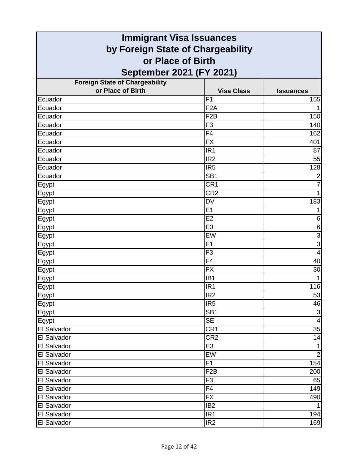| <b>Immigrant Visa Issuances</b>       |                   |                         |
|---------------------------------------|-------------------|-------------------------|
| by Foreign State of Chargeability     |                   |                         |
| or Place of Birth                     |                   |                         |
| September 2021 (FY 2021)              |                   |                         |
| <b>Foreign State of Chargeability</b> |                   |                         |
| or Place of Birth                     | <b>Visa Class</b> | <b>Issuances</b>        |
| Ecuador                               | F <sub>1</sub>    | 155                     |
| Ecuador                               | F <sub>2</sub> A  |                         |
| Ecuador                               | F <sub>2</sub> B  | 150                     |
| Ecuador                               | F <sub>3</sub>    | 140                     |
| Ecuador                               | F4                | 162                     |
| Ecuador                               | <b>FX</b>         | 401                     |
| Ecuador                               | IR <sub>1</sub>   | 87                      |
| Ecuador                               | IR <sub>2</sub>   | 55                      |
| Ecuador                               | IR <sub>5</sub>   | 128                     |
| Ecuador                               | SB <sub>1</sub>   | $\overline{2}$          |
| Egypt                                 | CR <sub>1</sub>   | 7                       |
| Egypt                                 | CR <sub>2</sub>   | 1                       |
| <b>Egypt</b>                          | <b>DV</b>         | 183                     |
| <b>Egypt</b>                          | E1                | 1                       |
| Egypt                                 | E2                | 6                       |
| Egypt                                 | E <sub>3</sub>    | $\,6$                   |
| Egypt                                 | EW                | $\overline{3}$          |
| <b>Egypt</b>                          | F <sub>1</sub>    | $\overline{3}$          |
| Egypt                                 | F <sub>3</sub>    | $\overline{\mathbf{4}}$ |
| <u>Egypt</u>                          | F <sub>4</sub>    | 40                      |
| <b>Egypt</b>                          | <b>FX</b>         | 30                      |
| Egypt                                 | IB <sub>1</sub>   |                         |
| <u>Egypt</u>                          | IR <sub>1</sub>   | 116                     |
| Egypt                                 | IR <sub>2</sub>   | 53                      |
| Egypt                                 | IR <sub>5</sub>   | 46                      |
| Egypt                                 | SB <sub>1</sub>   | $\mathbf{3}$            |
| Egypt                                 | <b>SE</b>         | $\overline{4}$          |
| El Salvador                           | CR <sub>1</sub>   | 35                      |
| El Salvador                           | CR <sub>2</sub>   | 14                      |
| El Salvador                           | E <sub>3</sub>    | 1                       |
| El Salvador                           | EW                | $\mathbf 2$             |
| El Salvador                           | F1                | 154                     |
| El Salvador                           | F <sub>2</sub> B  | 200                     |
| El Salvador                           | F <sub>3</sub>    | 65                      |
| El Salvador                           | F4                | 149                     |
| El Salvador                           | <b>FX</b>         | 490                     |
| El Salvador                           | IB <sub>2</sub>   |                         |
| El Salvador                           | IR <sub>1</sub>   | 194                     |
| El Salvador                           | IR <sub>2</sub>   | 169                     |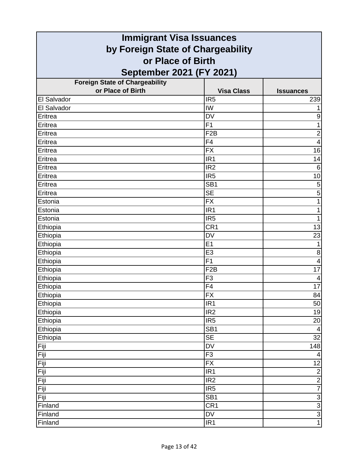| <b>Immigrant Visa Issuances</b>                            |                   |                         |
|------------------------------------------------------------|-------------------|-------------------------|
| by Foreign State of Chargeability                          |                   |                         |
| or Place of Birth                                          |                   |                         |
|                                                            |                   |                         |
| September 2021 (FY 2021)                                   |                   |                         |
| <b>Foreign State of Chargeability</b><br>or Place of Birth | <b>Visa Class</b> |                         |
| El Salvador                                                | IR <sub>5</sub>   | <b>Issuances</b><br>239 |
| El Salvador                                                | IW                | 1                       |
| Eritrea                                                    | <b>DV</b>         | 9                       |
| Eritrea                                                    | F <sub>1</sub>    | 1                       |
| Eritrea                                                    | F <sub>2</sub> B  | $\overline{\mathbf{c}}$ |
| Eritrea                                                    | F <sub>4</sub>    | $\overline{4}$          |
| Eritrea                                                    | <b>FX</b>         | 16                      |
| Eritrea                                                    | IR <sub>1</sub>   | 14                      |
| Eritrea                                                    | IR <sub>2</sub>   | $6\phantom{1}6$         |
| Eritrea                                                    | IR <sub>5</sub>   | 10                      |
| Eritrea                                                    | SB <sub>1</sub>   | 5                       |
| Eritrea                                                    | <b>SE</b>         | 5                       |
| Estonia                                                    | <b>FX</b>         | 1                       |
| Estonia                                                    | IR <sub>1</sub>   | 1                       |
| Estonia                                                    | IR <sub>5</sub>   | 1                       |
| Ethiopia                                                   | CR <sub>1</sub>   | 13                      |
| Ethiopia                                                   | <b>DV</b>         | 23                      |
| Ethiopia                                                   | E <sub>1</sub>    | 1                       |
| Ethiopia                                                   | E <sub>3</sub>    | 8                       |
| Ethiopia                                                   | F <sub>1</sub>    | 4                       |
| Ethiopia                                                   | F <sub>2</sub> B  | 17                      |
| Ethiopia                                                   | F <sub>3</sub>    | 4                       |
| Ethiopia                                                   | F <sub>4</sub>    | 17                      |
| Ethiopia                                                   | $\overline{FX}$   | 84                      |
| Ethiopia                                                   | IR <sub>1</sub>   | 50                      |
| Ethiopia                                                   | IR <sub>2</sub>   | 19                      |
| Ethiopia                                                   | IR <sub>5</sub>   | 20                      |
| Ethiopia                                                   | SB <sub>1</sub>   | $\overline{4}$          |
| Ethiopia                                                   | <b>SE</b>         | 32                      |
| Fiji                                                       | DV                | 148                     |
| Fiji                                                       | F3                | $\overline{4}$          |
| Fiji                                                       | <b>FX</b>         | 12                      |
| Fiji                                                       | IR <sub>1</sub>   | $\overline{2}$          |
| Fiji                                                       | IR <sub>2</sub>   | $\frac{2}{7}$           |
| Fiji                                                       | IR <sub>5</sub>   |                         |
| Fiji                                                       | SB <sub>1</sub>   |                         |
| Finland                                                    | CR <sub>1</sub>   | ن   ن   ن               |
| Finland                                                    | DV                |                         |
| Finland                                                    | IR <sub>1</sub>   |                         |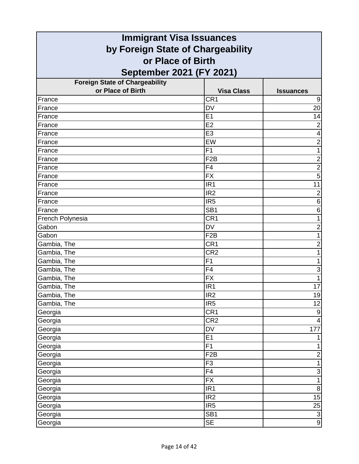| <b>Immigrant Visa Issuances</b>       |                          |                           |
|---------------------------------------|--------------------------|---------------------------|
| by Foreign State of Chargeability     |                          |                           |
| or Place of Birth                     |                          |                           |
| September 2021 (FY 2021)              |                          |                           |
| <b>Foreign State of Chargeability</b> |                          |                           |
| or Place of Birth                     | <b>Visa Class</b>        | <b>Issuances</b>          |
| France                                | CR <sub>1</sub>          | 9                         |
| France                                | <b>DV</b>                | 20                        |
| France                                | E <sub>1</sub>           | 14                        |
| France                                | E2                       | $\overline{2}$            |
| France                                | E <sub>3</sub>           | 4                         |
| France                                | EW                       | $\overline{2}$            |
| France                                | F1                       | 1                         |
| France                                | F <sub>2</sub> B         | $\overline{2}$            |
| France                                | F <sub>4</sub>           | $\overline{c}$            |
| France                                | <b>FX</b>                | $\overline{5}$            |
| France                                | IR <sub>1</sub>          | 11                        |
| France                                | IR <sub>2</sub>          | $\overline{2}$            |
| France                                | IR <sub>5</sub>          | $\,6$                     |
| France                                | SB <sub>1</sub>          | 6                         |
| French Polynesia                      | CR <sub>1</sub>          | 1                         |
| Gabon                                 | <b>DV</b>                | $\overline{c}$            |
| Gabon                                 | F <sub>2</sub> B         | 1                         |
| Gambia, The                           | CR <sub>1</sub>          | $\overline{2}$            |
| Gambia, The                           | CR <sub>2</sub>          | 1                         |
| Gambia, The                           | F <sub>1</sub>           | 1                         |
| Gambia, The                           | F4                       | $\ensuremath{\mathsf{3}}$ |
| Gambia, The                           | <b>FX</b>                | $\mathbf{1}$              |
| Gambia, The                           | IR <sub>1</sub>          | 17                        |
| Gambia, The                           | IR <sub>2</sub>          | 19                        |
| Gambia, The                           | IR <sub>5</sub>          | 12                        |
| Georgia                               | CR <sub>1</sub>          | $\boldsymbol{9}$          |
| Georgia                               | CR <sub>2</sub>          | $\overline{4}$            |
| Georgia                               | $\overline{\mathsf{DV}}$ | 177                       |
| Georgia                               | E1                       | 1                         |
| Georgia                               | F1                       | 1                         |
| Georgia                               | F <sub>2</sub> B         | $\overline{2}$            |
| Georgia                               | F <sub>3</sub>           | $\overline{1}$            |
| Georgia                               | F4                       | $\ensuremath{\mathsf{3}}$ |
| Georgia                               | <b>FX</b>                | $\mathbf{1}$              |
| Georgia                               | IR1                      | $\overline{8}$            |
| Georgia                               | IR <sub>2</sub>          | 15                        |
| Georgia                               | IR <sub>5</sub>          | $\frac{25}{3}$            |
| Georgia                               | SB <sub>1</sub>          | $\overline{9}$            |
| Georgia                               | <b>SE</b>                |                           |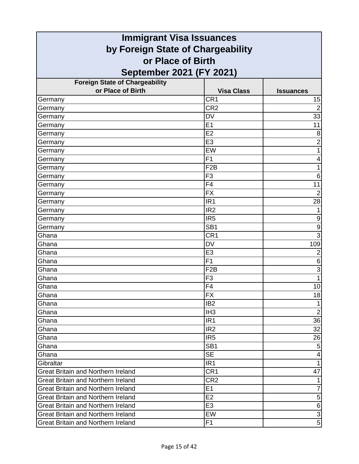| <b>Immigrant Visa Issuances</b>           |                      |                                  |
|-------------------------------------------|----------------------|----------------------------------|
| by Foreign State of Chargeability         |                      |                                  |
| or Place of Birth                         |                      |                                  |
| September 2021 (FY 2021)                  |                      |                                  |
| <b>Foreign State of Chargeability</b>     |                      |                                  |
| or Place of Birth                         | <b>Visa Class</b>    | <b>Issuances</b>                 |
| Germany                                   | CR <sub>1</sub>      | 15                               |
| Germany                                   | CR <sub>2</sub>      | $\overline{2}$                   |
| Germany                                   | <b>DV</b>            | 33                               |
| Germany                                   | E1                   | 11                               |
| Germany                                   | E2                   | 8                                |
| Germany                                   | E <sub>3</sub>       | $\overline{2}$                   |
| Germany                                   | EW                   | 1                                |
| Germany                                   | F <sub>1</sub>       | 4                                |
| Germany                                   | F <sub>2</sub> B     | 1                                |
| Germany                                   | F <sub>3</sub>       | $\,6$                            |
| Germany                                   | F <sub>4</sub>       | 11                               |
| Germany                                   | <b>FX</b>            | $\overline{2}$                   |
| Germany                                   | IR <sub>1</sub>      | 28                               |
| Germany                                   | IR <sub>2</sub>      | 1                                |
| Germany                                   | IR <sub>5</sub>      | 9                                |
| Germany                                   | SB <sub>1</sub>      | $\overline{9}$                   |
| Ghana                                     | CR <sub>1</sub>      | $\overline{3}$                   |
| Ghana                                     | <b>DV</b>            | 109                              |
| Ghana                                     | E <sub>3</sub>       | $\overline{c}$                   |
| Ghana                                     | F <sub>1</sub>       | 6                                |
| Ghana                                     | F <sub>2</sub> B     | $\overline{3}$                   |
| Ghana                                     | F <sub>3</sub>       | $\overline{1}$                   |
| Ghana                                     | F <sub>4</sub>       | 10                               |
| Ghana                                     | $\overline{FX}$      | 18                               |
| Ghana                                     | IB <sub>2</sub>      | $\mathbf{1}$                     |
| Ghana                                     | IH <sub>3</sub>      | $\overline{2}$                   |
| Ghana                                     | IR <sub>1</sub>      | 36                               |
| Ghana                                     | IR <sub>2</sub>      | 32                               |
| Ghana                                     | IR <sub>5</sub>      | 26                               |
| Ghana                                     | SB <sub>1</sub>      | $\overline{5}$                   |
| Ghana                                     | <b>SE</b>            | $\overline{4}$                   |
| Gibraltar                                 | IR <sub>1</sub>      | $\overline{1}$                   |
| <b>Great Britain and Northern Ireland</b> | CR1                  | 47                               |
| Great Britain and Northern Ireland        | CR <sub>2</sub>      | 1<br>$\overline{7}$              |
| <b>Great Britain and Northern Ireland</b> | E1                   |                                  |
| Great Britain and Northern Ireland        | E2                   | $\overline{5}$                   |
| <b>Great Britain and Northern Ireland</b> | E <sub>3</sub><br>EW | $\overline{6}$<br>$\overline{3}$ |
| <b>Great Britain and Northern Ireland</b> |                      | $\overline{5}$                   |
| <b>Great Britain and Northern Ireland</b> | F <sub>1</sub>       |                                  |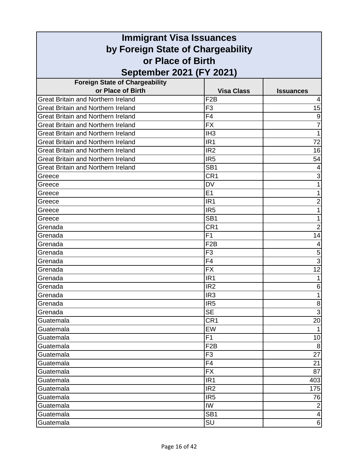| <b>Immigrant Visa Issuances</b>           |                   |                  |
|-------------------------------------------|-------------------|------------------|
| by Foreign State of Chargeability         |                   |                  |
| or Place of Birth                         |                   |                  |
| September 2021 (FY 2021)                  |                   |                  |
| <b>Foreign State of Chargeability</b>     |                   |                  |
| or Place of Birth                         | <b>Visa Class</b> | <b>Issuances</b> |
| <b>Great Britain and Northern Ireland</b> | F <sub>2</sub> B  | 4                |
| <b>Great Britain and Northern Ireland</b> | F <sub>3</sub>    | 15               |
| <b>Great Britain and Northern Ireland</b> | F4                | 9                |
| <b>Great Britain and Northern Ireland</b> | <b>FX</b>         | 7                |
| <b>Great Britain and Northern Ireland</b> | IH <sub>3</sub>   | 1                |
| <b>Great Britain and Northern Ireland</b> | IR <sub>1</sub>   | 72               |
| <b>Great Britain and Northern Ireland</b> | IR <sub>2</sub>   | 16               |
| <b>Great Britain and Northern Ireland</b> | IR <sub>5</sub>   | 54               |
| <b>Great Britain and Northern Ireland</b> | SB <sub>1</sub>   |                  |
| Greece                                    | CR1               | 3                |
| Greece                                    | <b>DV</b>         | 1                |
| Greece                                    | E1                |                  |
| Greece                                    | IR <sub>1</sub>   | $\overline{2}$   |
| Greece                                    | IR <sub>5</sub>   |                  |
| Greece                                    | SB <sub>1</sub>   |                  |
| Grenada                                   | CR <sub>1</sub>   | $\overline{2}$   |
| Grenada                                   | F <sub>1</sub>    | 14               |
| Grenada                                   | F <sub>2</sub> B  | 4                |
| Grenada                                   | F <sub>3</sub>    | 5                |
| Grenada                                   | F <sub>4</sub>    | 3                |
| Grenada                                   | <b>FX</b>         | $\overline{12}$  |
| Grenada                                   | IR <sub>1</sub>   |                  |
| Grenada                                   | IR <sub>2</sub>   | 6                |
| Grenada                                   | IR <sub>3</sub>   |                  |
| Grenada                                   | IR <sub>5</sub>   | 8                |
| Grenada                                   | <b>SE</b>         | $\mathfrak{S}$   |
| Guatemala                                 | CR <sub>1</sub>   | 20               |
| Guatemala                                 | EW                | $\mathbf{1}$     |
| Guatemala                                 | F1                | 10               |
| Guatemala                                 | F <sub>2</sub> B  | 8                |
| Guatemala                                 | F <sub>3</sub>    | 27               |
| Guatemala                                 | F <sub>4</sub>    | 21               |
| Guatemala                                 | <b>FX</b>         | 87               |
| Guatemala                                 | IR <sub>1</sub>   | 403              |
| Guatemala                                 | IR <sub>2</sub>   | 175              |
| Guatemala                                 | IR <sub>5</sub>   | 76               |
| Guatemala                                 | IW                | $\overline{2}$   |
| Guatemala                                 | SB <sub>1</sub>   | 4                |
| Guatemala                                 | SU                | 6                |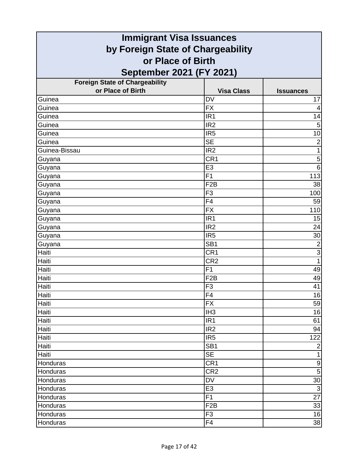| <b>Immigrant Visa Issuances</b>       |                   |                  |
|---------------------------------------|-------------------|------------------|
| by Foreign State of Chargeability     |                   |                  |
| or Place of Birth                     |                   |                  |
| September 2021 (FY 2021)              |                   |                  |
| <b>Foreign State of Chargeability</b> |                   |                  |
| or Place of Birth                     | <b>Visa Class</b> | <b>Issuances</b> |
| Guinea                                | <b>DV</b>         | 17               |
| Guinea                                | <b>FX</b>         | $\overline{4}$   |
| Guinea                                | IR <sub>1</sub>   | 14               |
| Guinea                                | IR <sub>2</sub>   | 5                |
| Guinea                                | IR <sub>5</sub>   | 10               |
| Guinea                                | <b>SE</b>         | $\overline{2}$   |
| Guinea-Bissau                         | IR <sub>2</sub>   | 1                |
| Guyana                                | CR <sub>1</sub>   | 5                |
| Guyana                                | E <sub>3</sub>    | 6                |
| Guyana                                | F1                | 113              |
| Guyana                                | F <sub>2</sub> B  | 38               |
| Guyana                                | F <sub>3</sub>    | 100              |
| Guyana                                | F4                | 59               |
| Guyana                                | <b>FX</b>         | 110              |
| Guyana                                | IR <sub>1</sub>   | 15               |
| Guyana                                | IR <sub>2</sub>   | 24               |
| Guyana                                | IR <sub>5</sub>   | 30               |
| Guyana                                | SB <sub>1</sub>   | $\overline{2}$   |
| Haiti                                 | CR <sub>1</sub>   | $\overline{3}$   |
| Haiti                                 | CR <sub>2</sub>   | 1                |
| Haiti                                 | F1                | 49               |
| Haiti                                 | F <sub>2</sub> B  | 49               |
| Haiti                                 | F <sub>3</sub>    | 41               |
| Haiti                                 | F4                | 16               |
| Haiti                                 | <b>FX</b>         | 59               |
| Haiti                                 | IH <sub>3</sub>   | 16               |
| Haiti                                 | IR <sub>1</sub>   | 61               |
| Haiti                                 | IR <sub>2</sub>   | 94               |
| Haiti                                 | IR <sub>5</sub>   | 122              |
| Haiti                                 | SB <sub>1</sub>   | $\mathbf 2$      |
| Haiti                                 | <b>SE</b>         | $\mathbf{1}$     |
| Honduras                              | CR <sub>1</sub>   | $\boldsymbol{9}$ |
| Honduras                              | CR <sub>2</sub>   | 5                |
| Honduras                              | DV                | 30               |
| Honduras                              | E <sub>3</sub>    | $\overline{3}$   |
| Honduras                              | F1                | 27               |
| Honduras                              | F <sub>2</sub> B  | 33               |
| Honduras                              | F <sub>3</sub>    | 16               |
| Honduras                              | F4                | 38               |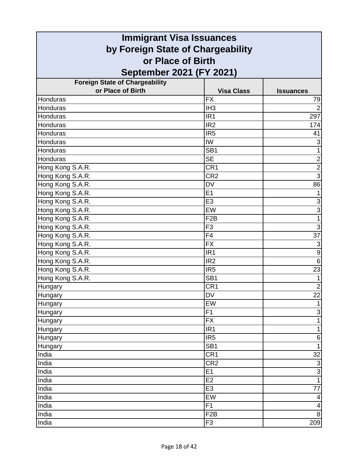| <b>Immigrant Visa Issuances</b>                        |                   |                           |
|--------------------------------------------------------|-------------------|---------------------------|
| by Foreign State of Chargeability<br>or Place of Birth |                   |                           |
|                                                        |                   |                           |
| <b>Foreign State of Chargeability</b>                  |                   |                           |
| or Place of Birth                                      | <b>Visa Class</b> | <b>Issuances</b>          |
| Honduras                                               | <b>FX</b>         | 79                        |
| Honduras                                               | IH <sub>3</sub>   | $\overline{2}$            |
| Honduras                                               | IR <sub>1</sub>   | 297                       |
| Honduras                                               | IR <sub>2</sub>   | 174                       |
| Honduras                                               | IR <sub>5</sub>   | 41                        |
| Honduras                                               | IW                | $\ensuremath{\mathsf{3}}$ |
| Honduras                                               | SB <sub>1</sub>   | 1                         |
| Honduras                                               | <b>SE</b>         | $\overline{2}$            |
| Hong Kong S.A.R.                                       | CR <sub>1</sub>   | $\overline{2}$            |
| Hong Kong S.A.R.                                       | CR <sub>2</sub>   | $\overline{3}$            |
| Hong Kong S.A.R.                                       | <b>DV</b>         | 86                        |
| Hong Kong S.A.R.                                       | E1                | 1                         |
| Hong Kong S.A.R.                                       | E <sub>3</sub>    | $\overline{3}$            |
| Hong Kong S.A.R.                                       | EW                | $\overline{3}$            |
| Hong Kong S.A.R.                                       | F <sub>2</sub> B  | $\mathbf{1}$              |
| Hong Kong S.A.R.                                       | F <sub>3</sub>    | 3                         |
| Hong Kong S.A.R.                                       | F4                | $\overline{37}$           |
| Hong Kong S.A.R.                                       | <b>FX</b>         | $\ensuremath{\mathsf{3}}$ |
| Hong Kong S.A.R.                                       | IR <sub>1</sub>   | $\overline{9}$            |
| Hong Kong S.A.R.                                       | IR <sub>2</sub>   | 6                         |
| Hong Kong S.A.R.                                       | IR <sub>5</sub>   | 23                        |
| Hong Kong S.A.R.                                       | SB <sub>1</sub>   | $\mathbf{1}$              |
| <b>Hungary</b>                                         | CR <sub>1</sub>   | $\overline{2}$            |
| Hungary                                                | DV                | 22                        |
| Hungary                                                | EW                | $\mathbf{1}$              |
| Hungary                                                | F1                | دن                        |
| Hungary                                                | <b>FX</b>         | $\overline{1}$            |
| Hungary                                                | $\overline{IR1}$  | $\mathbf{1}$              |
| Hungary                                                | IR <sub>5</sub>   | $\,6$                     |
| Hungary                                                | SB <sub>1</sub>   | $\mathbf{1}$              |
| India                                                  | CR <sub>1</sub>   | 32                        |
| India                                                  | CR <sub>2</sub>   | $\overline{3}$            |
| India                                                  | E1                | $\overline{3}$            |
| India                                                  | E <sub>2</sub>    | $\mathbf{1}$              |
| India                                                  | E3                | $\overline{77}$           |
| India                                                  | EW                | 4                         |
| India                                                  | F1                | $\overline{\mathbf{4}}$   |
| India                                                  | F2B               | $\bf{8}$                  |
| India                                                  | F <sub>3</sub>    | 209                       |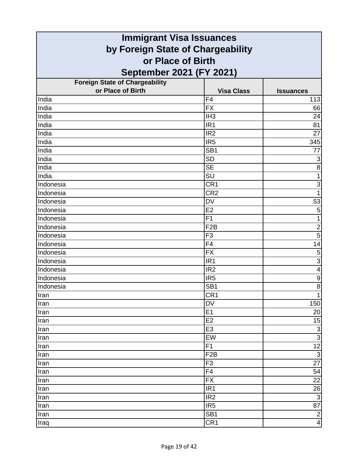| <b>Immigrant Visa Issuances</b>       |                          |                           |
|---------------------------------------|--------------------------|---------------------------|
| by Foreign State of Chargeability     |                          |                           |
| or Place of Birth                     |                          |                           |
| September 2021 (FY 2021)              |                          |                           |
| <b>Foreign State of Chargeability</b> |                          |                           |
| or Place of Birth                     | <b>Visa Class</b>        | <b>Issuances</b>          |
| India                                 | F <sub>4</sub>           | 113                       |
| India                                 | <b>FX</b>                | 66                        |
| India                                 | IH <sub>3</sub>          | 24                        |
| India                                 | IR <sub>1</sub>          | 81                        |
| India                                 | IR <sub>2</sub>          | 27                        |
| India                                 | IR <sub>5</sub>          | 345                       |
| India                                 | SB <sub>1</sub>          | 77                        |
| India                                 | <b>SD</b>                | $\ensuremath{\mathsf{3}}$ |
| India                                 | <b>SE</b>                | 8                         |
| India                                 | $\overline{\mathsf{SU}}$ | $\overline{1}$            |
| Indonesia                             | CR <sub>1</sub>          | 3                         |
| Indonesia                             | CR <sub>2</sub>          | $\overline{1}$            |
| Indonesia                             | <b>DV</b>                | 53                        |
| Indonesia                             | E2                       | 5                         |
| Indonesia                             | F <sub>1</sub>           | $\mathbf{1}$              |
| Indonesia                             | F <sub>2</sub> B         | $\overline{2}$            |
| Indonesia                             | F <sub>3</sub>           | $\overline{5}$            |
| Indonesia                             | F4                       | 14                        |
| Indonesia                             | <b>FX</b>                | 5                         |
| Indonesia                             | IR <sub>1</sub>          | $\overline{3}$            |
| Indonesia                             | IR <sub>2</sub>          | $\overline{4}$            |
| Indonesia                             | IR <sub>5</sub>          | $\overline{9}$            |
| Indonesia                             | SB <sub>1</sub>          | $\overline{8}$            |
| Iran                                  | CR1                      | $\mathbf{1}$              |
| Iran                                  | DV                       | 150                       |
| Iran                                  | E1                       | 20                        |
| Iran                                  | E <sub>2</sub>           | 15                        |
| Iran                                  | E <sub>3</sub>           | $\frac{3}{3}$             |
| Iran                                  | EW                       |                           |
| Iran                                  | F1                       | $\overline{12}$           |
| Iran                                  | F <sub>2</sub> B         | $\overline{3}$            |
| Iran                                  | F <sub>3</sub>           | $\overline{27}$           |
| Iran                                  | F4                       | 54                        |
| Iran                                  | <b>FX</b>                | 22                        |
| Iran                                  | IR <sub>1</sub>          | $\overline{26}$           |
| Iran                                  | IR <sub>2</sub>          | $\overline{3}$            |
| Iran                                  | IR <sub>5</sub>          | $\overline{87}$           |
| Iran                                  | SB <sub>1</sub>          | $\overline{2}$            |
| Iraq                                  | CR <sub>1</sub>          | $\overline{\mathbf{4}}$   |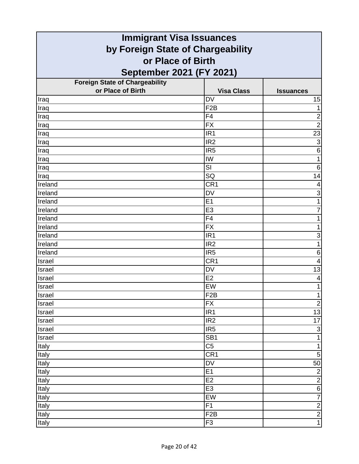| <b>Immigrant Visa Issuances</b>       |                   |                           |
|---------------------------------------|-------------------|---------------------------|
| by Foreign State of Chargeability     |                   |                           |
| or Place of Birth                     |                   |                           |
| <b>September 2021 (FY 2021)</b>       |                   |                           |
| <b>Foreign State of Chargeability</b> |                   |                           |
| or Place of Birth                     | <b>Visa Class</b> | <b>Issuances</b>          |
| Iraq                                  | <b>DV</b>         | 15                        |
| Iraq                                  | F <sub>2</sub> B  | 1                         |
| Iraq                                  | F4                | $\overline{\mathbf{c}}$   |
| Iraq                                  | <b>FX</b>         | $\overline{2}$            |
| Iraq                                  | IR <sub>1</sub>   | 23                        |
| Iraq                                  | IR <sub>2</sub>   | $\overline{3}$            |
| Iraq                                  | IR <sub>5</sub>   | 6                         |
| Iraq                                  | IW                |                           |
| Iraq                                  | SI                | 6                         |
| Iraq                                  | SQ                | 14                        |
| Ireland                               | CR <sub>1</sub>   | 4                         |
| Ireland                               | <b>DV</b>         | 3                         |
| Ireland                               | E1                | 1                         |
| Ireland                               | E <sub>3</sub>    | 7                         |
| Ireland                               | F <sub>4</sub>    |                           |
| Ireland                               | <b>FX</b>         | 1                         |
| Ireland                               | IR <sub>1</sub>   | 3                         |
| Ireland                               | IR <sub>2</sub>   | 1                         |
| Ireland                               | IR <sub>5</sub>   | 6                         |
| Israel                                | CR <sub>1</sub>   | 4                         |
| Israel                                | <b>DV</b>         | 13                        |
| Israel                                | E2                | 4                         |
| <b>Israel</b>                         | EW                | 1                         |
| <b>Israel</b>                         | F <sub>2</sub> B  | 1                         |
| Israel                                | <b>FX</b>         | $\overline{2}$            |
| Israel                                | IR <sub>1</sub>   | 13                        |
| Israel                                | IR <sub>2</sub>   | 17                        |
| Israel                                | IR <sub>5</sub>   | $\ensuremath{\mathsf{3}}$ |
| Israel                                | SB <sub>1</sub>   | $\mathbf{1}$              |
| Italy                                 | C <sub>5</sub>    | $\mathbf{1}$              |
| Italy                                 | CR <sub>1</sub>   | $\mathbf 5$               |
| Italy                                 | DV                | 50                        |
| Italy                                 | E1                | $\overline{2}$            |
| Italy                                 | E <sub>2</sub>    | $\overline{2}$            |
| Italy                                 | E <sub>3</sub>    | $\overline{6}$            |
| Italy                                 | EW                | $\overline{7}$            |
| Italy                                 | F <sub>1</sub>    | $\overline{2}$            |
| Italy                                 | F <sub>2</sub> B  | $\frac{2}{1}$             |
| Italy                                 | F <sub>3</sub>    |                           |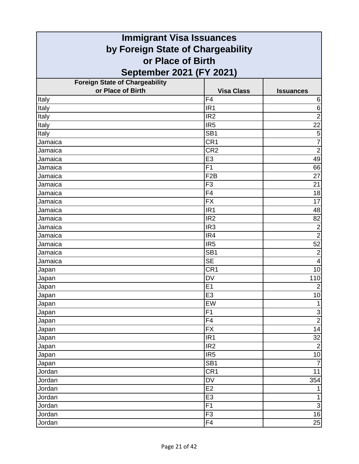| <b>Immigrant Visa Issuances</b>                        |                   |                  |
|--------------------------------------------------------|-------------------|------------------|
| by Foreign State of Chargeability<br>or Place of Birth |                   |                  |
|                                                        |                   |                  |
| <b>Foreign State of Chargeability</b>                  |                   |                  |
| or Place of Birth                                      | <b>Visa Class</b> | <b>Issuances</b> |
| Italy                                                  | F <sub>4</sub>    | 6                |
| Italy                                                  | IR <sub>1</sub>   | $\,6$            |
| Italy                                                  | IR <sub>2</sub>   | $\overline{2}$   |
| Italy                                                  | IR <sub>5</sub>   | 22               |
| Italy                                                  | SB <sub>1</sub>   | 5                |
| Jamaica                                                | CR <sub>1</sub>   | $\overline{7}$   |
| Jamaica                                                | CR <sub>2</sub>   | $\overline{2}$   |
| Jamaica                                                | E <sub>3</sub>    | 49               |
| Jamaica                                                | F1                | 66               |
| Jamaica                                                | F <sub>2</sub> B  | 27               |
| Jamaica                                                | F <sub>3</sub>    | 21               |
| Jamaica                                                | F4                | 18               |
| Jamaica                                                | <b>FX</b>         | 17               |
| Jamaica                                                | IR <sub>1</sub>   | 48               |
| Jamaica                                                | IR <sub>2</sub>   | 82               |
| Jamaica                                                | IR <sub>3</sub>   | $\overline{2}$   |
| Jamaica                                                | IR4               | $\overline{2}$   |
| Jamaica                                                | IR <sub>5</sub>   | 52               |
| Jamaica                                                | SB <sub>1</sub>   | $\overline{2}$   |
| Jamaica                                                | <b>SE</b>         | 4                |
| Japan                                                  | CR <sub>1</sub>   | 10               |
| Japan                                                  | <b>DV</b>         | 110              |
| Japan                                                  | E1                | $\mathbf 2$      |
| Japan                                                  | E3                | 10               |
| Japan                                                  | EW                | $\mathbf{1}$     |
| Japan                                                  | F1                | $\mathsf 3$      |
| Japan                                                  | F4                | $\overline{2}$   |
| Japan                                                  | <b>FX</b>         | 14               |
| Japan                                                  | IR <sub>1</sub>   | 32               |
| Japan                                                  | IR <sub>2</sub>   | $\overline{2}$   |
| Japan                                                  | IR <sub>5</sub>   | 10               |
| Japan                                                  | SB <sub>1</sub>   | $\overline{7}$   |
| Jordan                                                 | CR <sub>1</sub>   | 11               |
| Jordan                                                 | DV                | 354              |
| Jordan                                                 | E2                |                  |
| <b>Jordan</b>                                          | E <sub>3</sub>    | 1                |
| Jordan                                                 | F1                | $\mathsf 3$      |
| Jordan                                                 | F3                | 16               |
| Jordan                                                 | F4                | 25               |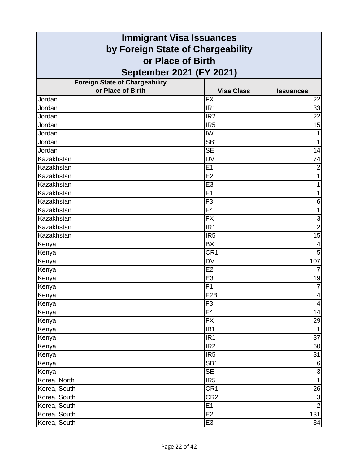| <b>Immigrant Visa Issuances</b>       |                   |                         |
|---------------------------------------|-------------------|-------------------------|
| by Foreign State of Chargeability     |                   |                         |
| or Place of Birth                     |                   |                         |
| September 2021 (FY 2021)              |                   |                         |
| <b>Foreign State of Chargeability</b> |                   |                         |
| or Place of Birth                     | <b>Visa Class</b> | <b>Issuances</b>        |
| Jordan                                | <b>FX</b>         | 22                      |
| Jordan                                | IR <sub>1</sub>   | 33                      |
| Jordan                                | IR <sub>2</sub>   | 22                      |
| Jordan                                | IR <sub>5</sub>   | 15                      |
| Jordan                                | IW                |                         |
| Jordan                                | SB <sub>1</sub>   | 1                       |
| Jordan                                | <b>SE</b>         | 14                      |
| Kazakhstan                            | <b>DV</b>         | 74                      |
| Kazakhstan                            | E <sub>1</sub>    | $\overline{2}$          |
| Kazakhstan                            | E2                | 1                       |
| Kazakhstan                            | E <sub>3</sub>    | 1                       |
| Kazakhstan                            | F <sub>1</sub>    | 1                       |
| Kazakhstan                            | F <sub>3</sub>    | 6                       |
| Kazakhstan                            | F <sub>4</sub>    | 1                       |
| Kazakhstan                            | <b>FX</b>         | 3                       |
| Kazakhstan                            | IR <sub>1</sub>   | $\overline{2}$          |
| Kazakhstan                            | IR <sub>5</sub>   | $\overline{15}$         |
| Kenya                                 | <b>BX</b>         | 4                       |
| Kenya                                 | CR <sub>1</sub>   | 5                       |
| Kenya                                 | <b>DV</b>         | 107                     |
| Kenya                                 | E2                | $\overline{7}$          |
| Kenya                                 | E <sub>3</sub>    | 19                      |
| Kenya                                 | F <sub>1</sub>    | $\overline{7}$          |
| Kenya                                 | F2B               | $\overline{\mathbf{r}}$ |
| Kenya                                 | F <sub>3</sub>    | $\overline{4}$          |
| Kenya                                 | F4                | 14                      |
| Kenya                                 | <b>FX</b>         | 29                      |
| Kenya                                 | IB1               | $\mathbf{1}$            |
| Kenya                                 | IR <sub>1</sub>   | $\overline{37}$         |
| Kenya                                 | IR <sub>2</sub>   | 60                      |
| Kenya                                 | IR <sub>5</sub>   | 31                      |
| Kenya                                 | SB <sub>1</sub>   | 6                       |
| Kenya                                 | <b>SE</b>         | دن                      |
| Korea, North                          | IR <sub>5</sub>   | $\mathbf{1}$            |
| Korea, South                          | CR <sub>1</sub>   | 26                      |
| Korea, South                          | CR <sub>2</sub>   | $\overline{3}$          |
| Korea, South                          | E <sub>1</sub>    | $\overline{2}$          |
| Korea, South                          | E2                | 131                     |
| Korea, South                          | E <sub>3</sub>    | 34                      |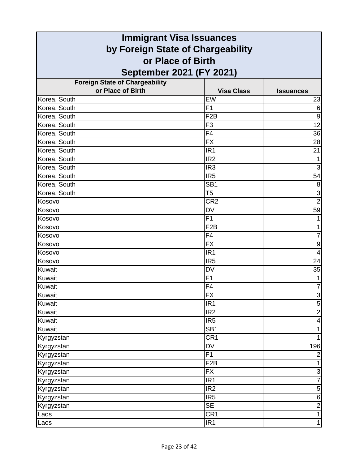| <b>Immigrant Visa Issuances</b>                            |                   |                           |
|------------------------------------------------------------|-------------------|---------------------------|
| by Foreign State of Chargeability                          |                   |                           |
| or Place of Birth                                          |                   |                           |
|                                                            |                   |                           |
| September 2021 (FY 2021)                                   |                   |                           |
| <b>Foreign State of Chargeability</b><br>or Place of Birth | <b>Visa Class</b> |                           |
| Korea, South                                               | EW                | <b>Issuances</b><br>23    |
| Korea, South                                               | F <sub>1</sub>    | $6\phantom{1}6$           |
| Korea, South                                               | F <sub>2</sub> B  | $\overline{9}$            |
| Korea, South                                               | F <sub>3</sub>    | 12                        |
| Korea, South                                               | F4                | 36                        |
| Korea, South                                               | <b>FX</b>         | 28                        |
| Korea, South                                               | IR <sub>1</sub>   | 21                        |
| Korea, South                                               | IR <sub>2</sub>   |                           |
| Korea, South                                               | IR <sub>3</sub>   | 3                         |
| Korea, South                                               | IR <sub>5</sub>   | 54                        |
| Korea, South                                               | SB <sub>1</sub>   | 8                         |
| Korea, South                                               | T <sub>5</sub>    | 3                         |
| Kosovo                                                     | CR <sub>2</sub>   | $\overline{2}$            |
| Kosovo                                                     | <b>DV</b>         | 59                        |
| Kosovo                                                     | F1                |                           |
| Kosovo                                                     | F <sub>2</sub> B  | 1                         |
| Kosovo                                                     | F4                | $\overline{7}$            |
| Kosovo                                                     | <b>FX</b>         | $\boldsymbol{9}$          |
| Kosovo                                                     | IR <sub>1</sub>   | $\overline{4}$            |
| Kosovo                                                     | IR <sub>5</sub>   | 24                        |
| Kuwait                                                     | <b>DV</b>         | 35                        |
| Kuwait                                                     | F <sub>1</sub>    | 1                         |
| Kuwait                                                     | F4                | $\overline{7}$            |
| Kuwait                                                     | $\overline{FX}$   | $\frac{3}{5}$             |
| Kuwait                                                     | IR <sub>1</sub>   |                           |
| Kuwait                                                     | IR <sub>2</sub>   | $\overline{2}$            |
| Kuwait                                                     | IR <sub>5</sub>   | $\overline{\mathcal{A}}$  |
| Kuwait                                                     | $\overline{SB1}$  | 1                         |
| Kyrgyzstan                                                 | CR1               |                           |
| Kyrgyzstan                                                 | DV                | 196                       |
| Kyrgyzstan                                                 | F1                | $\overline{2}$            |
| Kyrgyzstan                                                 | F <sub>2</sub> B  |                           |
| Kyrgyzstan                                                 | <b>FX</b>         | $\ensuremath{\mathsf{3}}$ |
| Kyrgyzstan                                                 | IR <sub>1</sub>   | $\overline{7}$            |
| Kyrgyzstan                                                 | IR <sub>2</sub>   | $\mathbf 5$               |
| Kyrgyzstan                                                 | IR <sub>5</sub>   | $\,6$                     |
| Kyrgyzstan                                                 | <b>SE</b>         | $\mathbf 2$               |
| Laos                                                       | CR <sub>1</sub>   | 1                         |
| Laos                                                       | IR <sub>1</sub>   | $\mathbf{1}$              |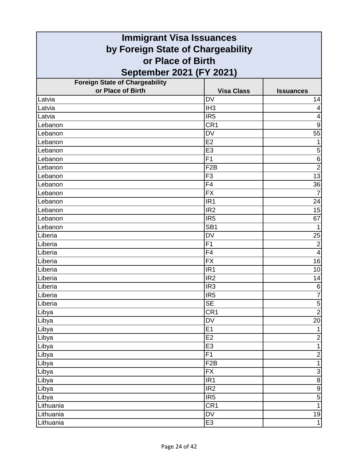| <b>Immigrant Visa Issuances</b>       |                   |                         |
|---------------------------------------|-------------------|-------------------------|
| by Foreign State of Chargeability     |                   |                         |
| or Place of Birth                     |                   |                         |
| September 2021 (FY 2021)              |                   |                         |
| <b>Foreign State of Chargeability</b> |                   |                         |
| or Place of Birth                     | <b>Visa Class</b> | <b>Issuances</b>        |
| Latvia                                | DV                | 14                      |
| Latvia                                | IH <sub>3</sub>   | 4                       |
| Latvia                                | IR <sub>5</sub>   | 4                       |
| Lebanon                               | CR <sub>1</sub>   | $\boldsymbol{9}$        |
| Lebanon                               | <b>DV</b>         | 55                      |
| Lebanon                               | E <sub>2</sub>    | 1                       |
| Lebanon                               | E <sub>3</sub>    | 5                       |
| Lebanon                               | F1                | $\,6$                   |
| Lebanon                               | F <sub>2</sub> B  | $\overline{2}$          |
| Lebanon                               | F <sub>3</sub>    | 13                      |
| Lebanon                               | F4                | 36                      |
| Lebanon                               | <b>FX</b>         | $\overline{7}$          |
| Lebanon                               | IR <sub>1</sub>   | 24                      |
| Lebanon                               | IR <sub>2</sub>   | 15                      |
| Lebanon                               | IR <sub>5</sub>   | 67                      |
| Lebanon                               | SB <sub>1</sub>   | 1                       |
| Liberia                               | <b>DV</b>         | 25                      |
| Liberia                               | F <sub>1</sub>    | $\mathbf 2$             |
| Liberia                               | F4                | $\overline{\mathbf{4}}$ |
| Liberia                               | <b>FX</b>         | 16                      |
| Liberia                               | IR <sub>1</sub>   | 10                      |
| Liberia                               | IR <sub>2</sub>   | 14                      |
| Liberia                               | IR <sub>3</sub>   | 6                       |
| Liberia                               | IR <sub>5</sub>   | $\overline{7}$          |
| Liberia                               | <b>SE</b>         | $\overline{5}$          |
| Libya                                 | CR1               | $\overline{2}$          |
| Libya                                 | <b>DV</b>         | 20                      |
| Libya                                 | E1                | $\mathbf{1}$            |
| Libya                                 | E2                | $\mathbf 2$             |
| Libya                                 | E <sub>3</sub>    | $\mathbf{1}$            |
| Libya                                 | F1                | $\overline{2}$          |
| Libya                                 | F2B               | $\overline{1}$          |
| Libya                                 | <b>FX</b>         | $\mathsf 3$             |
| Libya                                 | IR <sub>1</sub>   | $\overline{8}$          |
| Libya                                 | IR2               | $\overline{9}$          |
| Libya                                 | IR <sub>5</sub>   | $\overline{5}$          |
| Lithuania                             | CR <sub>1</sub>   | $\overline{1}$          |
| Lithuania                             | DV                | 19                      |
| Lithuania                             | E <sub>3</sub>    | $\mathbf{1}$            |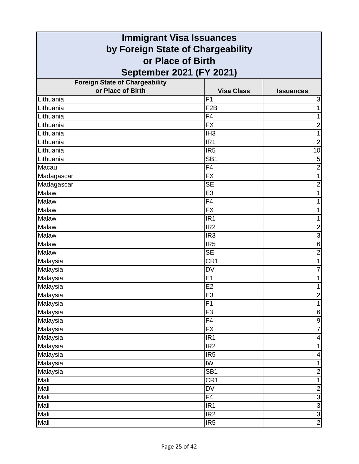| <b>Immigrant Visa Issuances</b>                        |                          |                           |
|--------------------------------------------------------|--------------------------|---------------------------|
| by Foreign State of Chargeability<br>or Place of Birth |                          |                           |
|                                                        |                          |                           |
| <b>Foreign State of Chargeability</b>                  |                          |                           |
| or Place of Birth                                      | <b>Visa Class</b>        | <b>Issuances</b>          |
| Lithuania                                              | F <sub>1</sub>           | $\ensuremath{\mathsf{3}}$ |
| Lithuania                                              | F <sub>2</sub> B         | 1                         |
| Lithuania                                              | F <sub>4</sub>           | 1                         |
| Lithuania                                              | <b>FX</b>                | $\overline{c}$            |
| Lithuania                                              | IH <sub>3</sub>          | 1                         |
| Lithuania                                              | IR <sub>1</sub>          | $\overline{2}$            |
| Lithuania                                              | IR <sub>5</sub>          | 10                        |
| Lithuania                                              | SB <sub>1</sub>          | 5                         |
| Macau                                                  | F4                       | $\overline{2}$            |
| Madagascar                                             | $\overline{FX}$          | 1                         |
| Madagascar                                             | <b>SE</b>                | $\overline{c}$            |
| Malawi                                                 | E <sub>3</sub>           |                           |
| Malawi                                                 | F4                       | 1                         |
| Malawi                                                 | <b>FX</b>                |                           |
| Malawi                                                 | IR <sub>1</sub>          |                           |
| Malawi                                                 | IR <sub>2</sub>          | $\overline{c}$            |
| Malawi                                                 | IR <sub>3</sub>          | $\overline{3}$            |
| Malawi                                                 | IR <sub>5</sub>          | 6                         |
| Malawi                                                 | <b>SE</b>                | $\overline{2}$            |
| Malaysia                                               | CR <sub>1</sub>          | 1                         |
| Malaysia                                               | <b>DV</b>                | 7                         |
| Malaysia                                               | E1                       | 1                         |
| Malaysia                                               | E <sub>2</sub>           | 1                         |
| Malaysia                                               | E3                       | $\overline{2}$            |
| Malaysia                                               | F <sub>1</sub>           | $\overline{1}$            |
| Malaysia                                               | F <sub>3</sub>           | $\,6$                     |
| Malaysia                                               | F4                       | $\boldsymbol{9}$          |
| Malaysia                                               | $\overline{FX}$          | $\overline{7}$            |
| Malaysia                                               | IR <sub>1</sub>          | 4                         |
| Malaysia                                               | IR <sub>2</sub>          | 1                         |
| Malaysia                                               | IR <sub>5</sub>          | 4                         |
| Malaysia                                               | IW                       | 1                         |
| Malaysia                                               | SB <sub>1</sub>          | $\mathbf 2$               |
| Mali                                                   | CR1                      | 1                         |
| Mali                                                   | $\overline{\mathsf{DV}}$ | $\boldsymbol{2}$          |
| Mali                                                   | $\overline{F4}$          |                           |
| Mali                                                   | IR <sub>1</sub>          | ن  ن  ن  ن                |
| Mali                                                   | IR2                      |                           |
| Mali                                                   | IR <sub>5</sub>          |                           |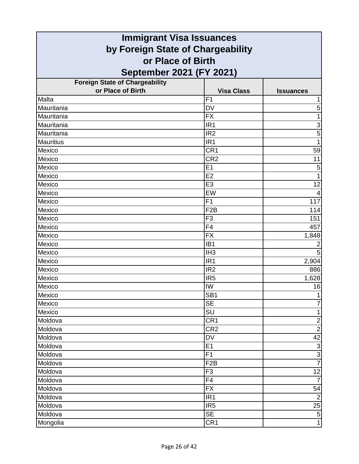| <b>Immigrant Visa Issuances</b>       |                   |                  |
|---------------------------------------|-------------------|------------------|
| by Foreign State of Chargeability     |                   |                  |
| or Place of Birth                     |                   |                  |
| September 2021 (FY 2021)              |                   |                  |
| <b>Foreign State of Chargeability</b> |                   |                  |
| or Place of Birth                     | <b>Visa Class</b> | <b>Issuances</b> |
| Malta                                 | F <sub>1</sub>    |                  |
| Mauritania                            | <b>DV</b>         | 5                |
| Mauritania                            | <b>FX</b>         | 1                |
| Mauritania                            | IR <sub>1</sub>   | 3                |
| Mauritania                            | IR <sub>2</sub>   | 5                |
| <b>Mauritius</b>                      | IR <sub>1</sub>   | 1                |
| Mexico                                | CR <sub>1</sub>   | 59               |
| Mexico                                | CR <sub>2</sub>   | 11               |
| Mexico                                | E1                | 5                |
| Mexico                                | E2                | $\overline{1}$   |
| Mexico                                | E <sub>3</sub>    | 12               |
| Mexico                                | EW                |                  |
| Mexico                                | F <sub>1</sub>    | 117              |
| Mexico                                | F <sub>2</sub> B  | 114              |
| Mexico                                | F <sub>3</sub>    | 151              |
| Mexico                                | F4                | 457              |
| Mexico                                | <b>FX</b>         | 1,848            |
| Mexico                                | IB <sub>1</sub>   | $\overline{2}$   |
| Mexico                                | IH <sub>3</sub>   | 5                |
| Mexico                                | IR <sub>1</sub>   | 2,904            |
| Mexico                                | IR <sub>2</sub>   | 886              |
| Mexico                                | IR <sub>5</sub>   | 1,628            |
| Mexico                                | IW                | 16               |
| Mexico                                | SB <sub>1</sub>   |                  |
| Mexico                                | <b>SE</b>         | 7                |
| Mexico                                | SU                | 1                |
| Moldova                               | CR <sub>1</sub>   | $\mathbf 2$      |
| Moldova                               | CR <sub>2</sub>   | $\overline{2}$   |
| Moldova                               | <b>DV</b>         | 42               |
| Moldova                               | E1                | $\overline{3}$   |
| Moldova                               | F1                | $rac{3}{7}$      |
| Moldova                               | F <sub>2</sub> B  |                  |
| Moldova                               | F <sub>3</sub>    | 12               |
| Moldova                               | F4                | $\overline{7}$   |
| Moldova                               | $\overline{FX}$   | 54               |
| Moldova                               | IR <sub>1</sub>   | $\overline{2}$   |
| Moldova                               | IR <sub>5</sub>   | 25               |
| Moldova                               | <b>SE</b>         | $\sigma$         |
| Mongolia                              | CR <sub>1</sub>   | $\mathbf{1}$     |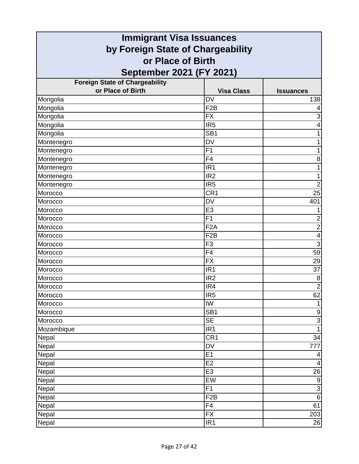| <b>Immigrant Visa Issuances</b>                        |                   |                  |
|--------------------------------------------------------|-------------------|------------------|
| by Foreign State of Chargeability<br>or Place of Birth |                   |                  |
|                                                        |                   |                  |
| <b>Foreign State of Chargeability</b>                  |                   |                  |
| or Place of Birth                                      | <b>Visa Class</b> | <b>Issuances</b> |
| Mongolia                                               | <b>DV</b>         | 138              |
| Mongolia                                               | F <sub>2</sub> B  | 4                |
| Mongolia                                               | <b>FX</b>         | 3                |
| Mongolia                                               | IR <sub>5</sub>   | 4                |
| Mongolia                                               | SB <sub>1</sub>   | 1                |
| Montenegro                                             | <b>DV</b>         | 1                |
| Montenegro                                             | F1                |                  |
| Montenegro                                             | F4                | 8                |
| Montenegro                                             | IR <sub>1</sub>   | 1                |
| Montenegro                                             | IR <sub>2</sub>   | 1                |
| Montenegro                                             | IR <sub>5</sub>   | $\overline{2}$   |
| Morocco                                                | CR <sub>1</sub>   | 25               |
| Morocco                                                | <b>DV</b>         | 401              |
| Morocco                                                | E <sub>3</sub>    | 1                |
| Morocco                                                | F <sub>1</sub>    | $\overline{2}$   |
| Morocco                                                | F <sub>2</sub> A  | $\overline{2}$   |
| Morocco                                                | F <sub>2</sub> B  | 4                |
| Morocco                                                | F <sub>3</sub>    | 3                |
| Morocco                                                | F4                | 59               |
| Morocco                                                | <b>FX</b>         | 29               |
| Morocco                                                | IR <sub>1</sub>   | $\overline{37}$  |
| Morocco                                                | IR <sub>2</sub>   | 8                |
| Morocco                                                | IR4               | $\overline{2}$   |
| Morocco                                                | IR <sub>5</sub>   | 62               |
| Morocco                                                | IW                | 1                |
| Morocco                                                | SB <sub>1</sub>   | $\boldsymbol{9}$ |
| Morocco                                                | <b>SE</b>         | $\overline{3}$   |
| Mozambique                                             | IR1               | $\mathbf{1}$     |
| Nepal                                                  | CR <sub>1</sub>   | 34               |
| Nepal                                                  | <b>DV</b>         | 777              |
| Nepal                                                  | E1                | 4                |
| Nepal                                                  | E <sub>2</sub>    | 4                |
| Nepal                                                  | E <sub>3</sub>    | 26               |
| Nepal                                                  | EW                | $\boldsymbol{9}$ |
| Nepal                                                  | F1                | $\overline{3}$   |
| Nepal                                                  | F <sub>2</sub> B  | $\overline{6}$   |
| Nepal                                                  | F4                | 61               |
| Nepal                                                  | <b>FX</b>         | 203              |
| Nepal                                                  | IR <sub>1</sub>   | 26               |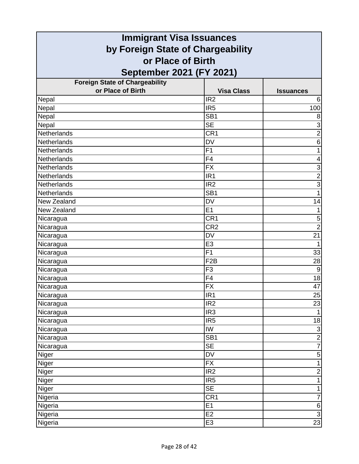| <b>Immigrant Visa Issuances</b>       |                                   |                  |
|---------------------------------------|-----------------------------------|------------------|
| by Foreign State of Chargeability     |                                   |                  |
| or Place of Birth                     |                                   |                  |
| September 2021 (FY 2021)              |                                   |                  |
| <b>Foreign State of Chargeability</b> |                                   |                  |
| or Place of Birth                     | <b>Visa Class</b>                 | <b>Issuances</b> |
| Nepal                                 | IR <sub>2</sub>                   | 6                |
| Nepal                                 | IR <sub>5</sub>                   | 100              |
| Nepal                                 | SB <sub>1</sub>                   | 8                |
| Nepal                                 | <b>SE</b>                         | 3                |
| Netherlands                           | CR <sub>1</sub>                   | $\overline{2}$   |
| Netherlands                           | <b>DV</b>                         | 6                |
| Netherlands                           | F1                                | 1                |
| Netherlands                           | F <sub>4</sub>                    | 4                |
| Netherlands                           | <b>FX</b>                         | 3                |
| Netherlands                           | IR <sub>1</sub>                   | $\overline{2}$   |
| Netherlands                           | IR <sub>2</sub>                   | $\overline{3}$   |
| Netherlands                           | SB <sub>1</sub>                   | 1                |
| New Zealand                           | <b>DV</b>                         | 14               |
| New Zealand                           | E1                                | 1                |
| Nicaragua                             | CR <sub>1</sub>                   | 5                |
| Nicaragua                             | CR <sub>2</sub>                   | $\overline{2}$   |
| Nicaragua                             | <b>DV</b>                         | 21               |
| Nicaragua                             | E <sub>3</sub>                    | 1                |
| Nicaragua                             | F1                                | 33               |
| Nicaragua                             | F <sub>2</sub> B                  | 28               |
| Nicaragua                             | F <sub>3</sub>                    | $\overline{9}$   |
| Nicaragua                             | F4                                | $\overline{18}$  |
| Nicaragua                             | <b>FX</b>                         | 47               |
| Nicaragua                             | IR1                               | 25               |
| Nicaragua                             | IR <sub>2</sub>                   | 23               |
| Nicaragua                             | IR <sub>3</sub>                   | $\mathbf{1}$     |
| Nicaragua                             | IR <sub>5</sub>                   | 18               |
| Nicaragua                             | $\overline{\mathsf{I}\mathsf{W}}$ | 3                |
| Nicaragua                             | SB <sub>1</sub>                   | $\overline{2}$   |
| Nicaragua                             | SE                                | $\overline{7}$   |
| Niger                                 | DV                                | $\overline{5}$   |
| Niger                                 | <b>FX</b>                         | $\overline{1}$   |
| Niger                                 | IR <sub>2</sub>                   | $\overline{2}$   |
| Niger                                 | IR <sub>5</sub>                   | 1                |
| Niger                                 | $\overline{\text{SE}}$            | $\mathbf{1}$     |
| Nigeria                               | CR <sub>1</sub>                   | $\overline{7}$   |
| Nigeria                               | E1                                | $\,6$            |
| Nigeria                               | E2                                | $\overline{3}$   |
| Nigeria                               | E <sub>3</sub>                    | 23               |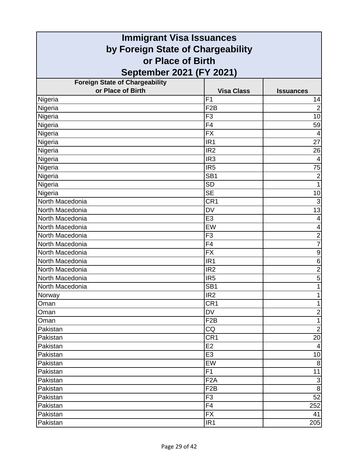| <b>Immigrant Visa Issuances</b>       |                   |                           |
|---------------------------------------|-------------------|---------------------------|
| by Foreign State of Chargeability     |                   |                           |
| or Place of Birth                     |                   |                           |
| September 2021 (FY 2021)              |                   |                           |
| <b>Foreign State of Chargeability</b> |                   |                           |
| or Place of Birth                     | <b>Visa Class</b> | <b>Issuances</b>          |
| Nigeria                               | F <sub>1</sub>    | 14                        |
| Nigeria                               | F <sub>2</sub> B  | $\overline{2}$            |
| Nigeria                               | F <sub>3</sub>    | 10                        |
| Nigeria                               | F4                | 59                        |
| Nigeria                               | <b>FX</b>         | 4                         |
| Nigeria                               | IR <sub>1</sub>   | 27                        |
| Nigeria                               | IR <sub>2</sub>   | 26                        |
| Nigeria                               | IR <sub>3</sub>   | $\overline{4}$            |
| Nigeria                               | IR <sub>5</sub>   | 75                        |
| Nigeria                               | SB <sub>1</sub>   | $\overline{c}$            |
| Nigeria                               | <b>SD</b>         | $\mathbf{1}$              |
| Nigeria                               | <b>SE</b>         | 10                        |
| North Macedonia                       | CR <sub>1</sub>   | 3                         |
| North Macedonia                       | <b>DV</b>         | $\overline{13}$           |
| North Macedonia                       | E <sub>3</sub>    | 4                         |
| North Macedonia                       | EW                | 4                         |
| North Macedonia                       | F <sub>3</sub>    | $\overline{2}$            |
| North Macedonia                       | F <sub>4</sub>    | $\overline{7}$            |
| North Macedonia                       | <b>FX</b>         | $\boldsymbol{9}$          |
| North Macedonia                       | IR <sub>1</sub>   | $\,$ 6 $\,$               |
| North Macedonia                       | IR <sub>2</sub>   | $\overline{2}$            |
| North Macedonia                       | IR <sub>5</sub>   | 5                         |
| North Macedonia                       | SB <sub>1</sub>   | 1                         |
| Norway                                | IR <sub>2</sub>   |                           |
| Oman                                  | CR <sub>1</sub>   | $\mathbf{1}$              |
| Oman                                  | <b>DV</b>         | $\overline{c}$            |
| Oman                                  | F <sub>2</sub> B  | $\mathbf{1}$              |
| Pakistan                              | CQ                | $\overline{2}$            |
| Pakistan                              | CR <sub>1</sub>   | 20                        |
| Pakistan                              | E <sub>2</sub>    | $\overline{\mathcal{A}}$  |
| Pakistan                              | E <sub>3</sub>    | 10                        |
| Pakistan                              | EW                | 8                         |
| Pakistan                              | F <sub>1</sub>    | 11                        |
| Pakistan                              | F <sub>2</sub> A  | $\ensuremath{\mathsf{3}}$ |
| Pakistan                              | F <sub>2</sub> B  | $\infty$                  |
| Pakistan                              | F <sub>3</sub>    | 52                        |
| Pakistan                              | F <sub>4</sub>    | 252                       |
| Pakistan                              | <b>FX</b>         | 41                        |
| Pakistan                              | IR <sub>1</sub>   | 205                       |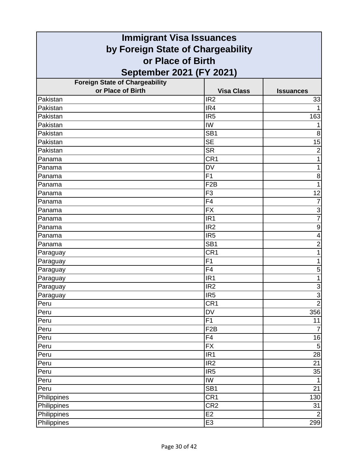| <b>Immigrant Visa Issuances</b>       |                   |                  |
|---------------------------------------|-------------------|------------------|
| by Foreign State of Chargeability     |                   |                  |
| or Place of Birth                     |                   |                  |
| September 2021 (FY 2021)              |                   |                  |
| <b>Foreign State of Chargeability</b> |                   |                  |
| or Place of Birth                     | <b>Visa Class</b> | <b>Issuances</b> |
| Pakistan                              | IR <sub>2</sub>   | 33               |
| Pakistan                              | IR4               | 1                |
| Pakistan                              | IR <sub>5</sub>   | 163              |
| Pakistan                              | IW                | 1                |
| Pakistan                              | SB <sub>1</sub>   | 8                |
| Pakistan                              | <b>SE</b>         | 15               |
| Pakistan                              | <b>SR</b>         | $\overline{2}$   |
| Panama                                | CR <sub>1</sub>   |                  |
| Panama                                | <b>DV</b>         | 1                |
| Panama                                | F <sub>1</sub>    | 8                |
| Panama                                | F <sub>2</sub> B  | 1                |
| Panama                                | F <sub>3</sub>    | 12               |
| Panama                                | F4                | $\overline{7}$   |
| Panama                                | <b>FX</b>         | $\overline{3}$   |
| Panama                                | IR <sub>1</sub>   | $\overline{7}$   |
| Panama                                | IR <sub>2</sub>   | $\boldsymbol{9}$ |
| Panama                                | IR <sub>5</sub>   | 4                |
| Panama                                | SB <sub>1</sub>   | $\overline{2}$   |
| Paraguay                              | CR <sub>1</sub>   | 1                |
| Paraguay                              | F <sub>1</sub>    | 1                |
| Paraguay                              | F <sub>4</sub>    | 5                |
| Paraguay                              | IR <sub>1</sub>   | 1                |
| Paraguay                              | IR <sub>2</sub>   | 3                |
| Paraguay                              | IR <sub>5</sub>   | س <mark>ا</mark> |
| Peru                                  | CR <sub>1</sub>   |                  |
| Peru                                  | <b>DV</b>         | 356              |
| Peru                                  | F1                | 11               |
| Peru                                  | F2B               | $\overline{7}$   |
| Peru                                  | F4                | 16               |
| Peru                                  | <b>FX</b>         | $\overline{5}$   |
| Peru                                  | IR <sub>1</sub>   | 28               |
| Peru                                  | IR <sub>2</sub>   | 21               |
| Peru                                  | IR <sub>5</sub>   | 35               |
| Peru                                  | IW                | 1                |
| Peru                                  | SB <sub>1</sub>   | 21               |
| Philippines                           | CR <sub>1</sub>   | 130              |
| Philippines                           | CR <sub>2</sub>   | 31               |
| Philippines                           | E <sub>2</sub>    | $\overline{2}$   |
| Philippines                           | E <sub>3</sub>    | 299              |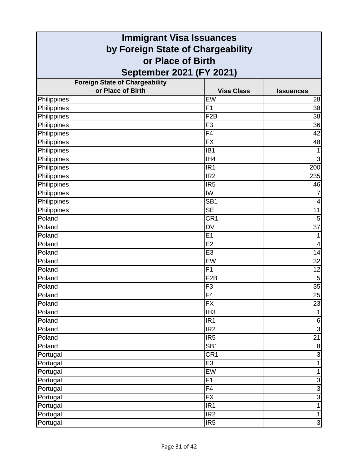| <b>Immigrant Visa Issuances</b>       |                   |                  |
|---------------------------------------|-------------------|------------------|
| by Foreign State of Chargeability     |                   |                  |
| or Place of Birth                     |                   |                  |
| September 2021 (FY 2021)              |                   |                  |
| <b>Foreign State of Chargeability</b> |                   |                  |
| or Place of Birth                     | <b>Visa Class</b> | <b>Issuances</b> |
| Philippines                           | EW                | 28               |
| Philippines                           | F <sub>1</sub>    | 38               |
| Philippines                           | F <sub>2</sub> B  | 38               |
| Philippines                           | F <sub>3</sub>    | 36               |
| Philippines                           | F4                | 42               |
| Philippines                           | <b>FX</b>         | 48               |
| Philippines                           | IB <sub>1</sub>   | 1                |
| Philippines                           | IH4               | $\mathbf{3}$     |
| Philippines                           | IR <sub>1</sub>   | 200              |
| Philippines                           | IR <sub>2</sub>   | 235              |
| Philippines                           | IR <sub>5</sub>   | 46               |
| Philippines                           | IW                | 7                |
| Philippines                           | SB <sub>1</sub>   | 4                |
| Philippines                           | <b>SE</b>         | 11               |
| Poland                                | CR <sub>1</sub>   | 5                |
| Poland                                | <b>DV</b>         | 37               |
| Poland                                | E1                | 1                |
| Poland                                | E2                | 4                |
| Poland                                | E <sub>3</sub>    | 14               |
| Poland                                | EW                | 32               |
| Poland                                | F <sub>1</sub>    | 12               |
| Poland                                | F <sub>2</sub> B  | 5                |
| Poland                                | F <sub>3</sub>    | 35               |
| Poland                                | $\overline{F4}$   | 25               |
| Poland                                | <b>FX</b>         | 23               |
| Poland                                | IH <sub>3</sub>   | $\mathbf{1}$     |
| Poland                                | IR <sub>1</sub>   | 6                |
| Poland                                | IR2               | $\overline{3}$   |
| Poland                                | IR <sub>5</sub>   | $\overline{21}$  |
| Poland                                | SB <sub>1</sub>   | $\bf 8$          |
| Portugal                              | CR <sub>1</sub>   | $\overline{3}$   |
| Portugal                              | E <sub>3</sub>    | $\overline{1}$   |
| Portugal                              | EW                | $\mathbf{1}$     |
| Portugal                              | F1                | 3                |
| Portugal                              | $\overline{F4}$   | $\frac{3}{1}$    |
| Portugal                              | <b>FX</b>         |                  |
| Portugal                              | IR <sub>1</sub>   |                  |
| Portugal                              | IR <sub>2</sub>   | $\mathbf{1}$     |
| Portugal                              | IR <sub>5</sub>   | $\overline{3}$   |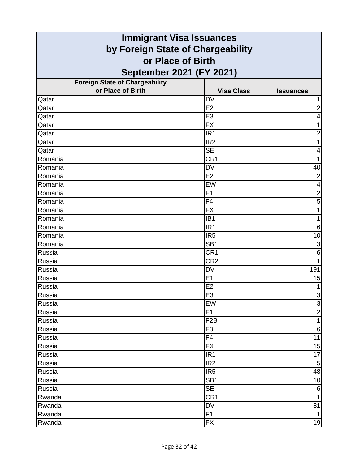| <b>Immigrant Visa Issuances</b>       |                   |                  |
|---------------------------------------|-------------------|------------------|
| by Foreign State of Chargeability     |                   |                  |
| or Place of Birth                     |                   |                  |
| September 2021 (FY 2021)              |                   |                  |
| <b>Foreign State of Chargeability</b> |                   |                  |
| or Place of Birth                     | <b>Visa Class</b> | <b>Issuances</b> |
| Qatar                                 | <b>DV</b>         |                  |
| Qatar                                 | E2                | $\overline{2}$   |
| Qatar                                 | E <sub>3</sub>    | 4                |
| Qatar                                 | <b>FX</b>         | 1                |
| Qatar                                 | IR <sub>1</sub>   | $\overline{c}$   |
| Qatar                                 | IR <sub>2</sub>   | 1                |
| Qatar                                 | <b>SE</b>         | 4                |
| Romania                               | CR <sub>1</sub>   |                  |
| Romania                               | <b>DV</b>         | 40               |
| Romania                               | E2                | $\overline{2}$   |
| Romania                               | EW                | 4                |
| Romania                               | F <sub>1</sub>    | $\overline{c}$   |
| Romania                               | F4                | $\overline{5}$   |
| Romania                               | <b>FX</b>         | 1                |
| Romania                               | IB <sub>1</sub>   |                  |
| Romania                               | IR <sub>1</sub>   | 6                |
| Romania                               | IR <sub>5</sub>   | 10               |
| Romania                               | SB <sub>1</sub>   | $\mathbf{3}$     |
| Russia                                | CR <sub>1</sub>   | 6                |
| Russia                                | CR <sub>2</sub>   |                  |
| Russia                                | <b>DV</b>         | 191              |
| Russia                                | E1                | 15               |
| Russia                                | E <sub>2</sub>    | 1                |
| Russia                                | E3                | $\mathbf{3}$     |
| Russia                                | EW                | $\overline{3}$   |
| Russia                                | F1                | $\overline{2}$   |
| Russia                                | F <sub>2</sub> B  | $\mathbf{1}$     |
| Russia                                | F <sub>3</sub>    | $\,6$            |
| Russia                                | F4                | 11               |
| Russia                                | <b>FX</b>         | 15               |
| Russia                                | IR <sub>1</sub>   | 17               |
| Russia                                | IR <sub>2</sub>   | $\sqrt{5}$       |
| Russia                                | IR <sub>5</sub>   | 48               |
| Russia                                | SB <sub>1</sub>   | 10               |
| Russia                                | <b>SE</b>         | 6                |
| Rwanda                                | CR <sub>1</sub>   | $\mathbf{1}$     |
| Rwanda                                | DV                | 81               |
| Rwanda                                | F1                | 1                |
| Rwanda                                | <b>FX</b>         | 19               |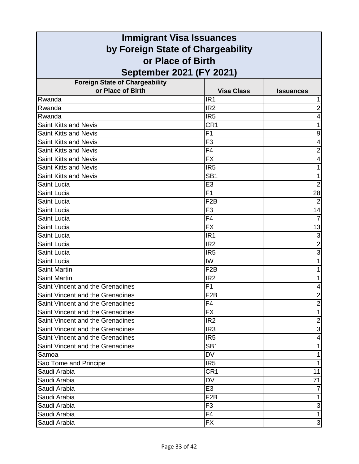| <b>Immigrant Visa Issuances</b>         |                   |                           |
|-----------------------------------------|-------------------|---------------------------|
| by Foreign State of Chargeability       |                   |                           |
| or Place of Birth                       |                   |                           |
| September 2021 (FY 2021)                |                   |                           |
| <b>Foreign State of Chargeability</b>   |                   |                           |
| or Place of Birth                       | <b>Visa Class</b> | <b>Issuances</b>          |
| Rwanda                                  | IR <sub>1</sub>   |                           |
| Rwanda                                  | IR <sub>2</sub>   | 2                         |
| Rwanda                                  | IR <sub>5</sub>   | 4                         |
| <b>Saint Kitts and Nevis</b>            | CR <sub>1</sub>   |                           |
| Saint Kitts and Nevis                   | F <sub>1</sub>    | 9                         |
| <b>Saint Kitts and Nevis</b>            | F <sub>3</sub>    | 4                         |
| <b>Saint Kitts and Nevis</b>            | F <sub>4</sub>    | 2                         |
| <b>Saint Kitts and Nevis</b>            | <b>FX</b>         | 4                         |
| <b>Saint Kitts and Nevis</b>            | IR <sub>5</sub>   |                           |
| <b>Saint Kitts and Nevis</b>            | SB <sub>1</sub>   | 1                         |
| Saint Lucia                             | E <sub>3</sub>    | $\overline{2}$            |
| Saint Lucia                             | F1                | 28                        |
| Saint Lucia                             | F <sub>2</sub> B  | $\overline{2}$            |
| Saint Lucia                             | F <sub>3</sub>    | 14                        |
| Saint Lucia                             | F <sub>4</sub>    |                           |
| Saint Lucia                             | <b>FX</b>         | 13                        |
| Saint Lucia                             | IR <sub>1</sub>   | 3                         |
| Saint Lucia                             | IR <sub>2</sub>   | $\overline{c}$            |
| Saint Lucia                             | IR <sub>5</sub>   | 3                         |
| Saint Lucia                             | IW                |                           |
| <b>Saint Martin</b>                     | F <sub>2</sub> B  |                           |
| <b>Saint Martin</b>                     | IR <sub>2</sub>   |                           |
| Saint Vincent and the Grenadines        | F <sub>1</sub>    | 4                         |
| Saint Vincent and the Grenadines        | F2B               | $\overline{\mathbf{c}}$   |
| Saint Vincent and the Grenadines        | F <sub>4</sub>    | $\overline{2}$            |
| Saint Vincent and the Grenadines        | <b>FX</b>         | 1                         |
| Saint Vincent and the Grenadines        | IR <sub>2</sub>   | $\overline{2}$            |
| Saint Vincent and the Grenadines        | IR <sub>3</sub>   | $\ensuremath{\mathsf{3}}$ |
| <b>Saint Vincent and the Grenadines</b> | IR <sub>5</sub>   | 4                         |
| Saint Vincent and the Grenadines        | SB <sub>1</sub>   | 1                         |
| Samoa                                   | <b>DV</b>         |                           |
| Sao Tome and Principe                   | IR <sub>5</sub>   |                           |
| Saudi Arabia                            | CR <sub>1</sub>   | 11                        |
| Saudi Arabia                            | <b>DV</b>         | 71                        |
| Saudi Arabia                            | E <sub>3</sub>    |                           |
| Saudi Arabia                            | F <sub>2</sub> B  | 1                         |
| Saudi Arabia                            | F <sub>3</sub>    | $\ensuremath{\mathsf{3}}$ |
| Saudi Arabia                            | F <sub>4</sub>    | 1                         |
| Saudi Arabia                            | FX                | $\mathbf{3}$              |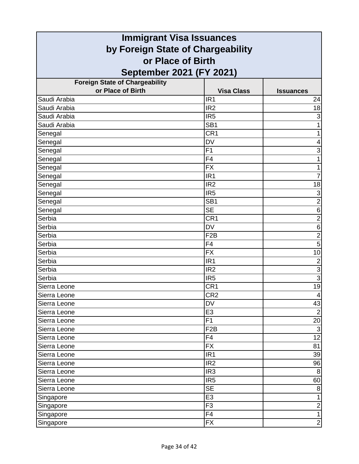| <b>Immigrant Visa Issuances</b>                        |                   |                          |
|--------------------------------------------------------|-------------------|--------------------------|
| by Foreign State of Chargeability<br>or Place of Birth |                   |                          |
|                                                        |                   |                          |
| <b>Foreign State of Chargeability</b>                  |                   |                          |
| or Place of Birth                                      | <b>Visa Class</b> | <b>Issuances</b>         |
| Saudi Arabia                                           | IR <sub>1</sub>   | 24                       |
| Saudi Arabia                                           | IR <sub>2</sub>   | 18                       |
| Saudi Arabia                                           | IR <sub>5</sub>   | 3                        |
| Saudi Arabia                                           | SB <sub>1</sub>   | 1                        |
| Senegal                                                | CR <sub>1</sub>   | 1                        |
| Senegal                                                | <b>DV</b>         | 4                        |
| Senegal                                                | F <sub>1</sub>    | 3                        |
| Senegal                                                | F4                |                          |
| Senegal                                                | <b>FX</b>         | 1                        |
| Senegal                                                | IR <sub>1</sub>   | $\overline{7}$           |
| Senegal                                                | IR <sub>2</sub>   | 18                       |
| Senegal                                                | IR <sub>5</sub>   | 3                        |
| Senegal                                                | SB <sub>1</sub>   | $\overline{2}$           |
| Senegal                                                | <b>SE</b>         | $\,6$                    |
| Serbia                                                 | CR <sub>1</sub>   | $\overline{\mathbf{c}}$  |
| Serbia                                                 | <b>DV</b>         | $6\phantom{1}$           |
| Serbia                                                 | F <sub>2</sub> B  | $\overline{2}$           |
| Serbia                                                 | F4                | 5                        |
| Serbia                                                 | <b>FX</b>         | 10                       |
| Serbia                                                 | IR <sub>1</sub>   | $\overline{c}$           |
| Serbia                                                 | IR <sub>2</sub>   | $\overline{3}$           |
| Serbia                                                 | IR <sub>5</sub>   | $\overline{3}$           |
| Sierra Leone                                           | CR <sub>1</sub>   | 19                       |
| Sierra Leone                                           | CR2               | $\overline{\mathcal{A}}$ |
| Sierra Leone                                           | DV                | $\overline{43}$          |
| Sierra Leone                                           | E <sub>3</sub>    | $\overline{2}$           |
| Sierra Leone                                           | F <sub>1</sub>    | 20                       |
| Sierra Leone                                           | F <sub>2</sub> B  | $\overline{3}$           |
| Sierra Leone                                           | F4                | $\overline{12}$          |
| Sierra Leone                                           | <b>FX</b>         | 81                       |
| Sierra Leone                                           | IR <sub>1</sub>   | 39                       |
| Sierra Leone                                           | IR <sub>2</sub>   | 96                       |
| Sierra Leone                                           | IR <sub>3</sub>   | 8                        |
| Sierra Leone                                           | IR <sub>5</sub>   | 60                       |
| Sierra Leone                                           | <b>SE</b>         | $\bf 8$                  |
| Singapore                                              | E <sub>3</sub>    | 1                        |
| Singapore                                              | F <sub>3</sub>    | $\boldsymbol{2}$         |
| Singapore                                              | F4                | $\mathbf{1}$             |
| Singapore                                              | <b>FX</b>         | $\overline{2}$           |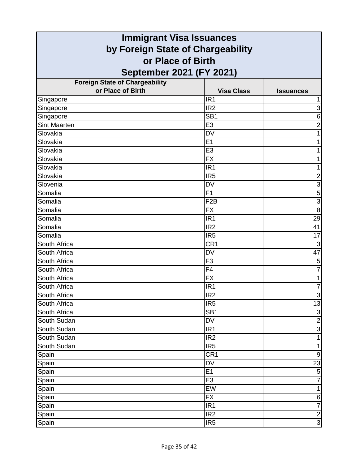| <b>Immigrant Visa Issuances</b>       |                   |                           |
|---------------------------------------|-------------------|---------------------------|
| by Foreign State of Chargeability     |                   |                           |
| or Place of Birth                     |                   |                           |
| <b>September 2021 (FY 2021)</b>       |                   |                           |
| <b>Foreign State of Chargeability</b> |                   |                           |
| or Place of Birth                     | <b>Visa Class</b> | <b>Issuances</b>          |
| Singapore                             | IR <sub>1</sub>   |                           |
| Singapore                             | IR <sub>2</sub>   | 3                         |
| Singapore                             | SB <sub>1</sub>   | 6                         |
| <b>Sint Maarten</b>                   | E <sub>3</sub>    | $\overline{c}$            |
| Slovakia                              | <b>DV</b>         | 1                         |
| Slovakia                              | E1                | 1                         |
| Slovakia                              | E <sub>3</sub>    |                           |
| Slovakia                              | <b>FX</b>         |                           |
| Slovakia                              | IR <sub>1</sub>   | 1                         |
| Slovakia                              | IR <sub>5</sub>   | $\overline{\mathbf{c}}$   |
| Slovenia                              | <b>DV</b>         | $\overline{3}$            |
| Somalia                               | F <sub>1</sub>    | 5                         |
| Somalia                               | F <sub>2</sub> B  | $\overline{3}$            |
| Somalia                               | <b>FX</b>         | $\overline{8}$            |
| Somalia                               | IR <sub>1</sub>   | 29                        |
| Somalia                               | IR <sub>2</sub>   | 41                        |
| Somalia                               | IR <sub>5</sub>   | 17                        |
| South Africa                          | CR <sub>1</sub>   | $\mathbf{3}$              |
| South Africa                          | <b>DV</b>         | 47                        |
| South Africa                          | F <sub>3</sub>    | 5                         |
| South Africa                          | F <sub>4</sub>    | $\overline{7}$            |
| South Africa                          | <b>FX</b>         | 1                         |
| South Africa                          | IR <sub>1</sub>   | 7                         |
| South Africa                          | IR <sub>2</sub>   | $\ensuremath{\mathsf{3}}$ |
| South Africa                          | IR <sub>5</sub>   | $\overline{13}$           |
| South Africa                          | SB <sub>1</sub>   | ω                         |
| South Sudan                           | DV                | $\overline{2}$            |
| South Sudan                           | IR <sub>1</sub>   | $\overline{3}$            |
| South Sudan                           | IR <sub>2</sub>   | 1                         |
| South Sudan                           | IR <sub>5</sub>   | $\mathbf{1}$              |
| Spain                                 | CR <sub>1</sub>   | $\boldsymbol{9}$          |
| Spain                                 | <b>DV</b>         | 23                        |
| Spain                                 | E1                | $\sqrt{5}$                |
| Spain                                 | E <sub>3</sub>    | $\overline{7}$            |
| Spain                                 | EW                | $\mathbf{1}$              |
| Spain                                 | <b>FX</b>         | 6                         |
| Spain                                 | IR <sub>1</sub>   | $\overline{7}$            |
| Spain                                 | IR <sub>2</sub>   | $\overline{2}$            |
| Spain                                 | IR <sub>5</sub>   | $\overline{3}$            |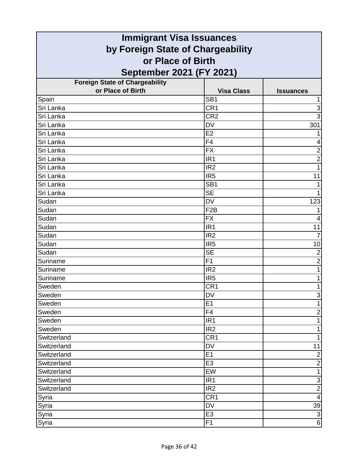| <b>Immigrant Visa Issuances</b>                        |                   |                          |
|--------------------------------------------------------|-------------------|--------------------------|
| by Foreign State of Chargeability<br>or Place of Birth |                   |                          |
|                                                        |                   |                          |
| <b>Foreign State of Chargeability</b>                  |                   |                          |
| or Place of Birth                                      | <b>Visa Class</b> | <b>Issuances</b>         |
| Spain                                                  | SB <sub>1</sub>   |                          |
| Sri Lanka                                              | CR <sub>1</sub>   | 3                        |
| Sri Lanka                                              | CR <sub>2</sub>   | 3                        |
| Sri Lanka                                              | DV                | 301                      |
| Sri Lanka                                              | E2                |                          |
| Sri Lanka                                              | F <sub>4</sub>    | 4                        |
| Sri Lanka                                              | <b>FX</b>         | $\overline{\mathbf{c}}$  |
| Sri Lanka                                              | IR <sub>1</sub>   | $\overline{2}$           |
| Sri Lanka                                              | IR <sub>2</sub>   | 1                        |
| Sri Lanka                                              | IR <sub>5</sub>   | 11                       |
| Sri Lanka                                              | SB <sub>1</sub>   |                          |
| Sri Lanka                                              | <b>SE</b>         |                          |
| Sudan                                                  | <b>DV</b>         | 123                      |
| Sudan                                                  | F <sub>2</sub> B  |                          |
| Sudan                                                  | <b>FX</b>         |                          |
| Sudan                                                  | IR <sub>1</sub>   | 11                       |
| Sudan                                                  | IR <sub>2</sub>   | 7                        |
| Sudan                                                  | IR <sub>5</sub>   | 10                       |
| Sudan                                                  | <b>SE</b>         | $\overline{2}$           |
| Suriname                                               | F <sub>1</sub>    | $\overline{2}$           |
| Suriname                                               | IR <sub>2</sub>   | 1                        |
| Suriname                                               | IR <sub>5</sub>   | 1                        |
| Sweden                                                 | CR <sub>1</sub>   | 1                        |
| Sweden                                                 | DV                | 3                        |
| Sweden                                                 | E1                | $\overline{1}$           |
| Sweden                                                 | F4                | $\overline{c}$           |
| Sweden                                                 | IR <sub>1</sub>   | 1                        |
| Sweden                                                 | IR <sub>2</sub>   | 1                        |
| Switzerland                                            | CR <sub>1</sub>   | 1                        |
| Switzerland                                            | <b>DV</b>         | 11                       |
| Switzerland                                            | E1                | $\overline{c}$           |
| Switzerland                                            | E <sub>3</sub>    | $\overline{2}$           |
| Switzerland                                            | EW                | 1                        |
| Switzerland                                            | IR <sub>1</sub>   | $\mathbf{3}$             |
| Switzerland                                            | IR2               | $\overline{2}$           |
| Syria                                                  | CR <sub>1</sub>   | $\overline{\mathcal{A}}$ |
| Syria                                                  | DV                | 39                       |
| Syria                                                  | E <sub>3</sub>    | $\overline{3}$           |
| Syria                                                  | F <sub>1</sub>    | $\,6$                    |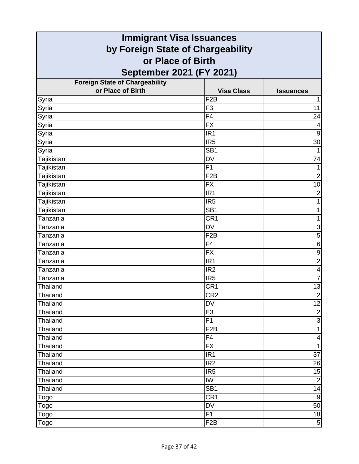| <b>Immigrant Visa Issuances</b>       |                   |                         |
|---------------------------------------|-------------------|-------------------------|
| by Foreign State of Chargeability     |                   |                         |
| or Place of Birth                     |                   |                         |
| September 2021 (FY 2021)              |                   |                         |
| <b>Foreign State of Chargeability</b> |                   |                         |
| or Place of Birth                     | <b>Visa Class</b> | <b>Issuances</b>        |
| Syria                                 | F <sub>2</sub> B  |                         |
| Syria                                 | F <sub>3</sub>    | 11                      |
| Syria                                 | F4                | 24                      |
| Syria                                 | <b>FX</b>         | 4                       |
| Syria                                 | IR <sub>1</sub>   | $\boldsymbol{9}$        |
| Syria                                 | IR <sub>5</sub>   | 30                      |
| Syria                                 | SB <sub>1</sub>   |                         |
| Tajikistan                            | <b>DV</b>         | 74                      |
| Tajikistan                            | F1                | 1                       |
| Tajikistan                            | F <sub>2</sub> B  | $\overline{2}$          |
| Tajikistan                            | <b>FX</b>         | 10                      |
| Tajikistan                            | IR <sub>1</sub>   | $\overline{c}$          |
| Tajikistan                            | IR <sub>5</sub>   | 1                       |
| Tajikistan                            | SB <sub>1</sub>   | 1                       |
| Tanzania                              | CR <sub>1</sub>   | 1                       |
| Tanzania                              | <b>DV</b>         | 3                       |
| Tanzania                              | F <sub>2</sub> B  | 5                       |
| Tanzania                              | F4                | 6                       |
| Tanzania                              | <b>FX</b>         | $\boldsymbol{9}$        |
| Tanzania                              | IR <sub>1</sub>   | $\overline{c}$          |
| Tanzania                              | IR <sub>2</sub>   | $\overline{\mathbf{4}}$ |
| Tanzania                              | IR <sub>5</sub>   | $\overline{7}$          |
| Thailand                              | CR <sub>1</sub>   | 13                      |
| Thailand                              | CR2               | $\overline{2}$          |
| Thailand                              | <b>DV</b>         | $\overline{12}$         |
| Thailand                              | E <sub>3</sub>    | $\overline{2}$          |
| Thailand                              | F1                | $\overline{3}$          |
| Thailand                              | F <sub>2</sub> B  | $\overline{1}$          |
| Thailand                              | F4                | $\overline{\mathbf{4}}$ |
| Thailand                              | <b>FX</b>         | $\mathbf{1}$            |
| Thailand                              | IR <sub>1</sub>   | 37                      |
| <b>Thailand</b>                       | IR <sub>2</sub>   | 26                      |
| Thailand                              | IR <sub>5</sub>   | 15                      |
| <b>Thailand</b>                       | IW                | $\overline{2}$          |
| Thailand                              | SB <sub>1</sub>   | 14                      |
| Togo                                  | CR <sub>1</sub>   | $\boldsymbol{9}$        |
| Togo                                  | DV                | 50                      |
| Togo                                  | F1                | 18                      |
| Togo                                  | F <sub>2</sub> B  | 5 <sub>5</sub>          |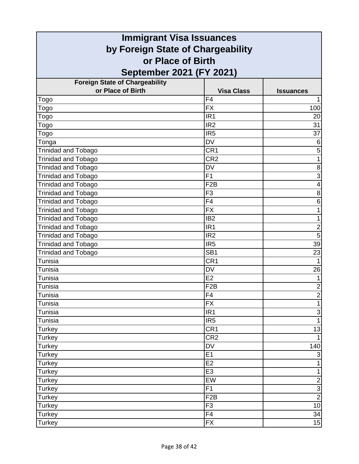|                                                            | <b>Immigrant Visa Issuances</b> |                  |
|------------------------------------------------------------|---------------------------------|------------------|
| by Foreign State of Chargeability                          |                                 |                  |
| or Place of Birth                                          |                                 |                  |
| September 2021 (FY 2021)                                   |                                 |                  |
|                                                            |                                 |                  |
| <b>Foreign State of Chargeability</b><br>or Place of Birth | <b>Visa Class</b>               | <b>Issuances</b> |
| Togo                                                       | F4                              |                  |
| Togo                                                       | <b>FX</b>                       | 100              |
| Togo                                                       | IR <sub>1</sub>                 | 20               |
| Togo                                                       | IR <sub>2</sub>                 | 31               |
| Togo                                                       | IR <sub>5</sub>                 | 37               |
| Tonga                                                      | <b>DV</b>                       | 6                |
| <b>Trinidad and Tobago</b>                                 | CR <sub>1</sub>                 | 5                |
| Trinidad and Tobago                                        | CR <sub>2</sub>                 | 1                |
| Trinidad and Tobago                                        | <b>DV</b>                       | $\,8\,$          |
| Trinidad and Tobago                                        | F1                              | $\overline{3}$   |
| <b>Trinidad and Tobago</b>                                 | F <sub>2</sub> B                | $\overline{4}$   |
| <b>Trinidad and Tobago</b>                                 | F <sub>3</sub>                  | 8                |
| <b>Trinidad and Tobago</b>                                 | F <sub>4</sub>                  | 6                |
| <b>Trinidad and Tobago</b>                                 | <b>FX</b>                       | 1                |
| Trinidad and Tobago                                        | IB <sub>2</sub>                 | 1                |
| <b>Trinidad and Tobago</b>                                 | IR <sub>1</sub>                 | $\overline{c}$   |
| Trinidad and Tobago                                        | IR <sub>2</sub>                 | $\overline{5}$   |
| Trinidad and Tobago                                        | IR <sub>5</sub>                 | 39               |
| <b>Trinidad and Tobago</b>                                 | SB <sub>1</sub>                 | 23               |
| Tunisia                                                    | CR <sub>1</sub>                 |                  |
| Tunisia                                                    | <b>DV</b>                       | 26               |
| <b>Tunisia</b>                                             | E <sub>2</sub>                  | 1                |
| Tunisia                                                    | F <sub>2</sub> B                | $\mathbf 2$      |
| Tunisia                                                    | F4                              | $\frac{2}{1}$    |
| Tunisia                                                    | <b>FX</b>                       |                  |
| Tunisia                                                    | IR <sub>1</sub>                 | $\mathsf 3$      |
| Tunisia                                                    | IR <sub>5</sub>                 | $\overline{1}$   |
| Turkey                                                     | CR <sub>1</sub>                 | 13               |
| <b>Turkey</b>                                              | CR <sub>2</sub>                 |                  |
| Turkey                                                     | DV                              | 140              |
| Turkey                                                     | E1                              | $\overline{3}$   |
| <b>Turkey</b>                                              | E2                              | 1                |
| <b>Turkey</b>                                              | E <sub>3</sub>                  | $\mathbf{1}$     |
| <b>Turkey</b>                                              | EW                              | $\overline{2}$   |
| Turkey                                                     | F1                              | $\overline{3}$   |
| Turkey                                                     | F <sub>2</sub> B                | $\overline{2}$   |
| Turkey                                                     | F <sub>3</sub>                  | 10               |
| <b>Turkey</b>                                              | F4                              | 34               |
| Turkey                                                     | <b>FX</b>                       | 15               |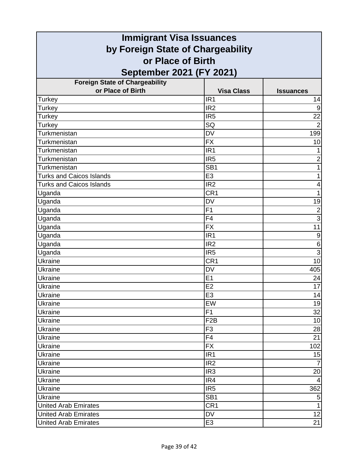| <b>Immigrant Visa Issuances</b>                        |                   |                  |
|--------------------------------------------------------|-------------------|------------------|
| by Foreign State of Chargeability<br>or Place of Birth |                   |                  |
|                                                        |                   |                  |
| <b>Foreign State of Chargeability</b>                  |                   |                  |
| or Place of Birth                                      | <b>Visa Class</b> | <b>Issuances</b> |
| Turkey                                                 | IR <sub>1</sub>   | 14               |
| Turkey                                                 | IR <sub>2</sub>   | 9                |
| Turkey                                                 | IR <sub>5</sub>   | $\overline{22}$  |
| Turkey                                                 | SQ                | $\overline{2}$   |
| Turkmenistan                                           | <b>DV</b>         | 199              |
| Turkmenistan                                           | <b>FX</b>         | 10               |
| Turkmenistan                                           | IR <sub>1</sub>   |                  |
| Turkmenistan                                           | IR <sub>5</sub>   | $\overline{2}$   |
| Turkmenistan                                           | SB <sub>1</sub>   | 1                |
| <b>Turks and Caicos Islands</b>                        | E <sub>3</sub>    | 1                |
| <b>Turks and Caicos Islands</b>                        | IR <sub>2</sub>   | 4                |
| Uganda                                                 | CR <sub>1</sub>   | 1                |
| Uganda                                                 | <b>DV</b>         | 19               |
| Uganda                                                 | F1                | $\overline{2}$   |
| Uganda                                                 | F4                | 3                |
| Uganda                                                 | <b>FX</b>         | 11               |
| Uganda                                                 | IR <sub>1</sub>   | 9                |
| Uganda                                                 | IR <sub>2</sub>   | $\,6$            |
| Uganda                                                 | IR <sub>5</sub>   | $\overline{3}$   |
| Ukraine                                                | CR <sub>1</sub>   | 10               |
| Ukraine                                                | <b>DV</b>         | 405              |
| <b>Ukraine</b>                                         | E1                | 24               |
| Ukraine                                                | E <sub>2</sub>    | $\overline{17}$  |
| Ukraine                                                | E3                | 14               |
| Ukraine                                                | EW                | 19               |
| Ukraine                                                | F1                | 32               |
| Ukraine                                                | F <sub>2</sub> B  | 10               |
| Ukraine                                                | F <sub>3</sub>    | 28               |
| Ukraine                                                | F4                | 21               |
| Ukraine                                                | <b>FX</b>         | 102              |
| Ukraine                                                | IR <sub>1</sub>   | 15               |
| Ukraine                                                | IR <sub>2</sub>   |                  |
| Ukraine                                                | IR <sub>3</sub>   | 20               |
| Ukraine                                                | IR4               | 4                |
| Ukraine                                                | IR <sub>5</sub>   | 362              |
| <b>Ukraine</b>                                         | SB <sub>1</sub>   | 5                |
| <b>United Arab Emirates</b>                            | CR <sub>1</sub>   | 1                |
| <b>United Arab Emirates</b>                            | <b>DV</b>         | 12               |
| <b>United Arab Emirates</b>                            | E <sub>3</sub>    | 21               |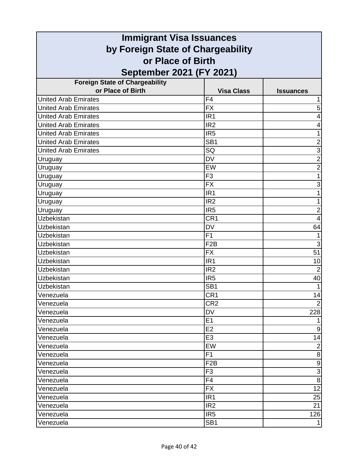| <b>Immigrant Visa Issuances</b>       |                   |                         |
|---------------------------------------|-------------------|-------------------------|
| by Foreign State of Chargeability     |                   |                         |
| or Place of Birth                     |                   |                         |
| September 2021 (FY 2021)              |                   |                         |
| <b>Foreign State of Chargeability</b> |                   |                         |
| or Place of Birth                     | <b>Visa Class</b> | <b>Issuances</b>        |
| <b>United Arab Emirates</b>           | F <sub>4</sub>    |                         |
| <b>United Arab Emirates</b>           | <b>FX</b>         | 5                       |
| <b>United Arab Emirates</b>           | IR <sub>1</sub>   | 4                       |
| United Arab Emirates                  | IR <sub>2</sub>   | 4                       |
| <b>United Arab Emirates</b>           | IR <sub>5</sub>   | 1                       |
| <b>United Arab Emirates</b>           | SB <sub>1</sub>   | $\overline{2}$          |
| <b>United Arab Emirates</b>           | SQ                | $\overline{3}$          |
| Uruguay                               | <b>DV</b>         | $\overline{2}$          |
| Uruguay                               | EW                | $\overline{2}$          |
| Uruguay                               | F <sub>3</sub>    | 1                       |
| Uruguay                               | <b>FX</b>         | 3                       |
| Uruguay                               | IR <sub>1</sub>   | 1                       |
| Uruguay                               | IR <sub>2</sub>   | 1                       |
| Uruguay                               | IR <sub>5</sub>   | $\overline{\mathbf{c}}$ |
| <b>Uzbekistan</b>                     | CR1               | $\overline{4}$          |
| Uzbekistan                            | <b>DV</b>         | 64                      |
| <b>Uzbekistan</b>                     | $\overline{F1}$   |                         |
| Uzbekistan                            | F <sub>2</sub> B  | 3                       |
| Uzbekistan                            | <b>FX</b>         | 51                      |
| Uzbekistan                            | IR <sub>1</sub>   | 10                      |
| Uzbekistan                            | IR <sub>2</sub>   | $\overline{2}$          |
| Uzbekistan                            | IR <sub>5</sub>   | 40                      |
| Uzbekistan                            | SB <sub>1</sub>   | $\mathbf{1}$            |
| Venezuela                             | CR <sub>1</sub>   | 14                      |
| Venezuela                             | CR <sub>2</sub>   | $\overline{2}$          |
| Venezuela                             | <b>DV</b>         | 228                     |
| Venezuela                             | E1                |                         |
| Venezuela                             | E2                | $9\,$                   |
| Venezuela                             | E <sub>3</sub>    | 14                      |
| Venezuela                             | EW                | $\overline{2}$          |
| Venezuela                             | F <sub>1</sub>    | $\bf 8$                 |
| Venezuela                             | F <sub>2</sub> B  | $\boldsymbol{9}$        |
| Venezuela                             | F <sub>3</sub>    | $\overline{3}$          |
| Venezuela                             | F <sub>4</sub>    | 8                       |
| Venezuela                             | <b>FX</b>         | 12                      |
| Venezuela                             | IR <sub>1</sub>   | 25                      |
| Venezuela                             | IR <sub>2</sub>   | 21                      |
| Venezuela                             | IR <sub>5</sub>   | 126                     |
| Venezuela                             | SB <sub>1</sub>   |                         |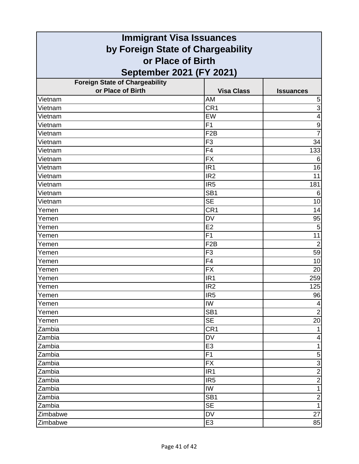| <b>Immigrant Visa Issuances</b>       |                   |                                  |
|---------------------------------------|-------------------|----------------------------------|
| by Foreign State of Chargeability     |                   |                                  |
| or Place of Birth                     |                   |                                  |
| September 2021 (FY 2021)              |                   |                                  |
| <b>Foreign State of Chargeability</b> |                   |                                  |
| or Place of Birth                     | <b>Visa Class</b> | <b>Issuances</b>                 |
| Vietnam                               | AM                | 5                                |
| Vietnam                               | CR <sub>1</sub>   | $\overline{3}$                   |
| Vietnam                               | EW                | $\overline{4}$                   |
| Vietnam                               | F1                | $\boldsymbol{9}$                 |
| Vietnam                               | F <sub>2</sub> B  | $\overline{7}$                   |
| Vietnam                               | F <sub>3</sub>    | 34                               |
| Vietnam                               | F4                | 133                              |
| Vietnam                               | <b>FX</b>         | 6                                |
| Vietnam                               | IR <sub>1</sub>   | 16                               |
| Vietnam                               | IR <sub>2</sub>   | 11                               |
| Vietnam                               | IR <sub>5</sub>   | 181                              |
| Vietnam                               | SB <sub>1</sub>   | 6                                |
| Vietnam                               | <b>SE</b>         | 10                               |
| Yemen                                 | CR <sub>1</sub>   | 14                               |
| Yemen                                 | <b>DV</b>         | 95                               |
| Yemen                                 | E2                | 5                                |
| Yemen                                 | F <sub>1</sub>    | 11                               |
| Yemen                                 | F <sub>2</sub> B  | $\overline{2}$                   |
| Yemen                                 | F <sub>3</sub>    | 59                               |
| Yemen                                 | F <sub>4</sub>    | 10                               |
| Yemen                                 | <b>FX</b>         | 20                               |
| Yemen                                 | IR <sub>1</sub>   | 259                              |
| Yemen                                 | IR <sub>2</sub>   | 125                              |
| Yemen                                 | IR5               | 96                               |
| Yemen                                 | IW                | 4                                |
| Yemen                                 | SB <sub>1</sub>   | $\overline{2}$                   |
| Yemen                                 | <b>SE</b>         | 20                               |
| Zambia                                | CR <sub>1</sub>   | $\mathbf{1}$                     |
| Zambia                                | <b>DV</b>         | 4                                |
| Zambia                                | E <sub>3</sub>    | $\mathbf{1}$                     |
| Zambia                                | F1                | 5                                |
| Zambia                                | <b>FX</b>         | $\overline{3}$                   |
| Zambia                                | IR <sub>1</sub>   | $\overline{2}$                   |
| Zambia                                | IR <sub>5</sub>   | $\overline{2}$                   |
| Zambia                                | IW                | $\overline{1}$                   |
| Zambia                                | SB <sub>1</sub>   | $\overline{c}$<br>$\overline{1}$ |
| Zambia                                | <b>SE</b>         |                                  |
| Zimbabwe                              | <b>DV</b>         | 27                               |
| Zimbabwe                              | E <sub>3</sub>    | 85                               |